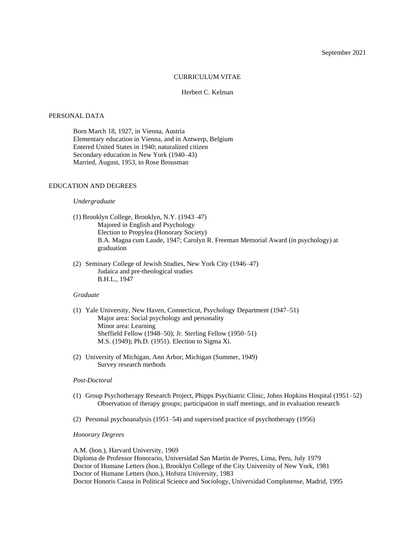## September 2021

#### CURRICULUM VITAE

### Herbert C. Kelman

# PERSONAL DATA

Born March 18, 1927, in Vienna, Austria Elementary education in Vienna, and in Antwerp, Belgium Entered United States in 1940; naturalized citizen Secondary education in New York (1940–43) Married, August, 1953, to Rose Brousman

### EDUCATION AND DEGREES

### *Undergraduate*

- (1) Brooklyn College, Brooklyn, N.Y. (1943–47) Majored in English and Psychology Election to Propylea (Honorary Society) B.A. Magna cum Laude, 1947; Carolyn R. Freeman Memorial Award (in psychology) at graduation
- (2) Seminary College of Jewish Studies, New York City (1946–47) Judaica and pre-theological studies B.H.L., 1947

#### *Graduate*

- (1) Yale University, New Haven, Connecticut, Psychology Department (1947–51) Major area: Social psychology and personality Minor area: Learning Sheffield Fellow (1948–50); Jr. Sterling Fellow (1950–51) M.S. (1949); Ph.D. (1951). Election to Sigma Xi.
- (2) University of Michigan, Ann Arbor, Michigan (Summer, 1949) Survey research methods

#### *Post-Doctoral*

- (1) Group Psychotherapy Research Project, Phipps Psychiatric Clinic, Johns Hopkins Hospital (1951–52) Observation of therapy groups; participation in staff meetings, and in evaluation research
- (2) Personal psychoanalysis (1951–54) and supervised practice of psychotherapy (1956)

### *Honorary Degrees*

A.M. (hon.), Harvard University, 1969

Diploma de Professor Honorario, Universidad San Martin de Porres, Lima, Peru, July 1979 Doctor of Humane Letters (hon.), Brooklyn College of the City University of New York, 1981 Doctor of Humane Letters (hon.), Hofstra University, 1983 Doctor Honoris Causa in Political Science and Sociology, Universidad Complutense, Madrid, 1995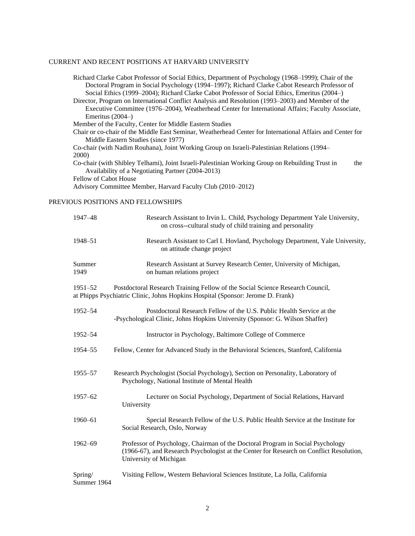# CURRENT AND RECENT POSITIONS AT HARVARD UNIVERSITY

Richard Clarke Cabot Professor of Social Ethics, Department of Psychology (1968–1999); Chair of the Doctoral Program in Social Psychology (1994–1997); Richard Clarke Cabot Research Professor of Social Ethics (1999–2004); Richard Clarke Cabot Professor of Social Ethics, Emeritus (2004–) Director, Program on International Conflict Analysis and Resolution (1993–2003) and Member of the Executive Committee (1976–2004), Weatherhead Center for International Affairs; Faculty Associate, Emeritus (2004–) Member of the Faculty, Center for Middle Eastern Studies Chair or co-chair of the Middle East Seminar, Weatherhead Center for International Affairs and Center for Middle Eastern Studies (since 1977) Co-chair (with Nadim Rouhana), Joint Working Group on Israeli-Palestinian Relations (1994– 2000) Co-chair (with Shibley Telhami), Joint Israeli-Palestinian Working Group on Rebuilding Trust in the Availability of a Negotiating Partner (2004-2013) Fellow of Cabot House Advisory Committee Member, Harvard Faculty Club (2010–2012)

# PREVIOUS POSITIONS AND FELLOWSHIPS

| 1947-48                | Research Assistant to Irvin L. Child, Psychology Department Yale University,<br>on cross--cultural study of child training and personality                                                          |
|------------------------|-----------------------------------------------------------------------------------------------------------------------------------------------------------------------------------------------------|
| 1948–51                | Research Assistant to Carl I. Hovland, Psychology Department, Yale University,<br>on attitude change project                                                                                        |
| Summer<br>1949         | Research Assistant at Survey Research Center, University of Michigan,<br>on human relations project                                                                                                 |
| 1951-52                | Postdoctoral Research Training Fellow of the Social Science Research Council,<br>at Phipps Psychiatric Clinic, Johns Hopkins Hospital (Sponsor: Jerome D. Frank)                                    |
| 1952-54                | Postdoctoral Research Fellow of the U.S. Public Health Service at the<br>-Psychological Clinic, Johns Hopkins University (Sponsor: G. Wilson Shaffer)                                               |
| 1952-54                | Instructor in Psychology, Baltimore College of Commerce                                                                                                                                             |
| 1954-55                | Fellow, Center for Advanced Study in the Behavioral Sciences, Stanford, California                                                                                                                  |
| 1955–57                | Research Psychologist (Social Psychology), Section on Personality, Laboratory of<br>Psychology, National Institute of Mental Health                                                                 |
| 1957-62                | Lecturer on Social Psychology, Department of Social Relations, Harvard<br>University                                                                                                                |
| 1960-61                | Special Research Fellow of the U.S. Public Health Service at the Institute for<br>Social Research, Oslo, Norway                                                                                     |
| $1962 - 69$            | Professor of Psychology, Chairman of the Doctoral Program in Social Psychology<br>(1966-67), and Research Psychologist at the Center for Research on Conflict Resolution,<br>University of Michigan |
| Spring/<br>Summer 1964 | Visiting Fellow, Western Behavioral Sciences Institute, La Jolla, California                                                                                                                        |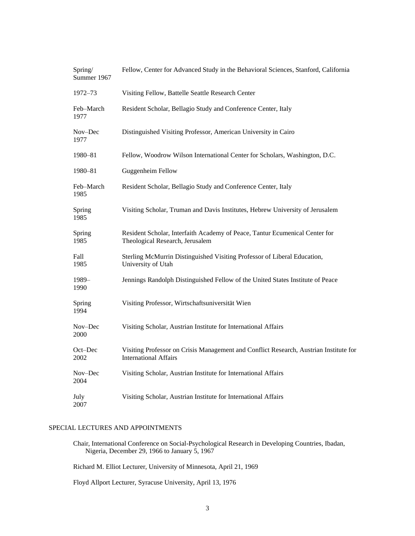| Spring/<br>Summer 1967 | Fellow, Center for Advanced Study in the Behavioral Sciences, Stanford, California                                    |
|------------------------|-----------------------------------------------------------------------------------------------------------------------|
| 1972–73                | Visiting Fellow, Battelle Seattle Research Center                                                                     |
| Feb-March<br>1977      | Resident Scholar, Bellagio Study and Conference Center, Italy                                                         |
| Nov-Dec<br>1977        | Distinguished Visiting Professor, American University in Cairo                                                        |
| 1980-81                | Fellow, Woodrow Wilson International Center for Scholars, Washington, D.C.                                            |
| 1980-81                | Guggenheim Fellow                                                                                                     |
| Feb-March<br>1985      | Resident Scholar, Bellagio Study and Conference Center, Italy                                                         |
| Spring<br>1985         | Visiting Scholar, Truman and Davis Institutes, Hebrew University of Jerusalem                                         |
| Spring<br>1985         | Resident Scholar, Interfaith Academy of Peace, Tantur Ecumenical Center for<br>Theological Research, Jerusalem        |
| Fall<br>1985           | Sterling McMurrin Distinguished Visiting Professor of Liberal Education,<br>University of Utah                        |
| 1989-<br>1990          | Jennings Randolph Distinguished Fellow of the United States Institute of Peace                                        |
| Spring<br>1994         | Visiting Professor, Wirtschaftsuniversität Wien                                                                       |
| Nov-Dec<br>2000        | Visiting Scholar, Austrian Institute for International Affairs                                                        |
| Oct-Dec<br>2002        | Visiting Professor on Crisis Management and Conflict Research, Austrian Institute for<br><b>International Affairs</b> |
| Nov-Dec<br>2004        | Visiting Scholar, Austrian Institute for International Affairs                                                        |
| July<br>2007           | Visiting Scholar, Austrian Institute for International Affairs                                                        |

# SPECIAL LECTURES AND APPOINTMENTS

Chair, International Conference on Social-Psychological Research in Developing Countries, Ibadan, Nigeria, December 29, 1966 to January 5, 1967

Richard M. Elliot Lecturer, University of Minnesota, April 21, 1969

Floyd Allport Lecturer, Syracuse University, April 13, 1976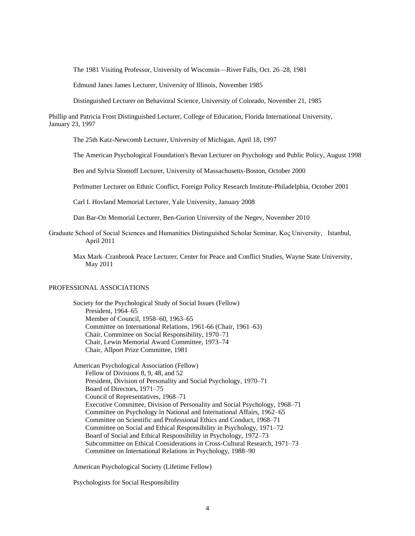The 1981 Visiting Professor, University of Wisconsin—River Falls, Oct. 26–28, 1981

Edmund Janes James Lecturer, University of Illinois, November 1985

Distinguished Lecturer on Behavioral Science, University of Colorado, November 21, 1985

Phillip and Patricia Frost Distinguished Lecturer, College of Education, Florida International University, January 23, 1997

The 25th Katz-Newcomb Lecturer, University of Michigan, April 18, 1997

The American Psychological Foundation's Bevan Lecturer on Psychology and Public Policy, August 1998

Ben and Sylvia Slomoff Lecturer, University of Massachusetts-Boston, October 2000

Perlmutter Lecturer on Ethnic Conflict, Foreign Policy Research Institute-Philadelphia, October 2001

Carl I. Hovland Memorial Lecturer, Yale University, January 2008

Dan Bar-On Memorial Lecturer, Ben-Gurion University of the Negev, November 2010

- Graduate School of Social Sciences and Humanities Distinguished Scholar Seminar, Koς University, Istanbul, April 2011
	- Max Mark–Cranbrook Peace Lecturer, Center for Peace and Conflict Studies, Wayne State University, May 2011

#### PROFESSIONAL ASSOCIATIONS

Society for the Psychological Study of Social Issues (Fellow) President, 1964–65 Member of Council, 1958–60, 1963–65 Committee on International Relations, 1961-66 (Chair, 1961–63) Chair, Committee on Social Responsibility, 1970–71 Chair, Lewin Memorial Award Committee, 1973–74 Chair, Allport Prize Committee, 1981

American Psychological Association (Fellow) Fellow of Divisions 8, 9, 48, and 52 President, Division of Personality and Social Psychology, 1970–71 Board of Directors, 1971–75 Council of Representatives, 1968–71 Executive Committee, Division of Personality and Social Psychology, 1968–71 Committee on Psychology in National and International Affairs, 1962–65 Committee on Scientific and Professional Ethics and Conduct, 1968–71 Committee on Social and Ethical Responsibility in Psychology, 1971–72 Board of Social and Ethical Responsibility in Psychology, 1972–73 Subcommittee on Ethical Considerations in Cross-Cultural Research, 1971–73 Committee on International Relations in Psychology, 1988–90

American Psychological Society (Lifetime Fellow)

Psychologists for Social Responsibility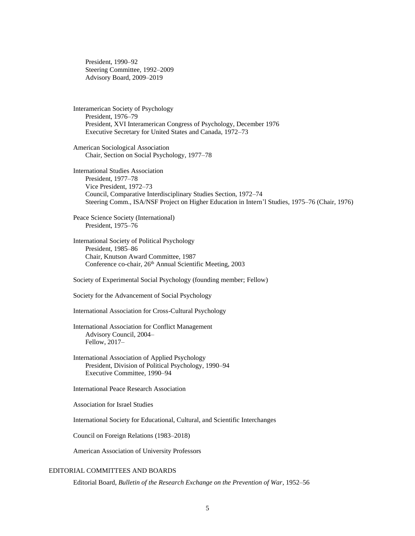President, 1990–92 Steering Committee, 1992–2009 Advisory Board, 2009–2019

Interamerican Society of Psychology President, 1976–79 President, XVI Interamerican Congress of Psychology, December 1976 Executive Secretary for United States and Canada, 1972–73

American Sociological Association Chair, Section on Social Psychology, 1977–78

International Studies Association President, 1977–78 Vice President, 1972–73 Council, Comparative Interdisciplinary Studies Section, 1972–74 Steering Comm., ISA/NSF Project on Higher Education in Intern'l Studies, 1975–76 (Chair, 1976)

Peace Science Society (International) President, 1975–76

International Society of Political Psychology President, 1985–86 Chair, Knutson Award Committee, 1987 Conference co-chair, 26th Annual Scientific Meeting, 2003

Society of Experimental Social Psychology (founding member; Fellow)

Society for the Advancement of Social Psychology

International Association for Cross-Cultural Psychology

International Association for Conflict Management Advisory Council, 2004– Fellow, 2017–

International Association of Applied Psychology President, Division of Political Psychology, 1990–94 Executive Committee, 1990–94

International Peace Research Association

Association for Israel Studies

International Society for Educational, Cultural, and Scientific Interchanges

Council on Foreign Relations (1983–2018)

American Association of University Professors

# EDITORIAL COMMITTEES AND BOARDS

Editorial Board, *Bulletin of the Research Exchange on the Prevention of War*, 1952–56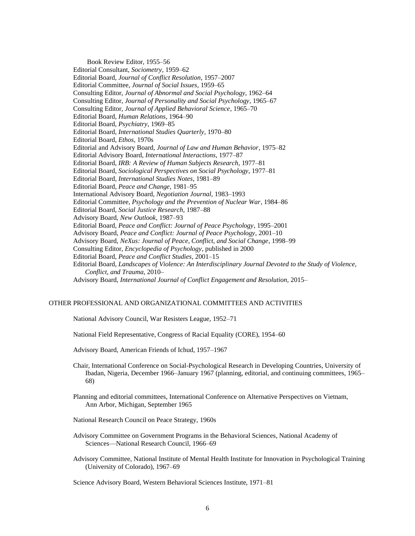Book Review Editor, 1955–56 Editorial Consultant, *Sociometry*, 1959–62 Editorial Board, *Journal of Conflict Resolution*, 1957–2007 Editorial Committee, *Journal of Social Issues*, 1959–65 Consulting Editor, *Journal of Abnormal and Social Psychology*, 1962–64 Consulting Editor, *Journal of Personality and Social Psychology*, 1965–67 Consulting Editor, *Journal of Applied Behavioral Science*, 1965–70 Editorial Board, *Human Relations*, 1964–90 Editorial Board, *Psychiatry*, 1969–85 Editorial Board, *International Studies Quarterly*, 1970–80 Editorial Board, *Ethos*, 1970s Editorial and Advisory Board, *Journal of Law and Human Behavior*, 1975–82 Editorial Advisory Board, *International Interactions*, 1977–87 Editorial Board, *IRB: A Review of Human Subjects Research*, 1977–81 Editorial Board, *Sociological Perspectives on Social Psychology*, 1977–81 Editorial Board, *International Studies Notes*, 1981–89 Editorial Board, *Peace and Change*, 1981–95 International Advisory Board, *Negotiation Journal*, 1983–1993 Editorial Committee, *Psychology and the Prevention of Nuclear War*, 1984–86 Editorial Board, *Social Justice Research,* 1987–88 Advisory Board, *New Outlook*, 1987–93 Editorial Board, *Peace and Conflict: Journal of Peace Psychology*, 1995–2001 Advisory Board, *Peace and Conflict: Journal of Peace Psychology*, 2001–10 Advisory Board, *NeXus: Journal of Peace, Conflict, and Social Change*, 1998–99 Consulting Editor, *Encyclopedia of Psychology*, published in 2000 Editorial Board, *Peace and Conflict Studies*, 2001–15 Editorial Board, *Landscapes of Violence: An Interdisciplinary Journal Devoted to the Study of Violence, Conflict, and Trauma*, 2010– Advisory Board, *International Journal of Conflict Engagement and Resolution,* 2015–

### OTHER PROFESSIONAL AND ORGANIZATIONAL COMMITTEES AND ACTIVITIES

National Advisory Council, War Resisters League, 1952–71

National Field Representative, Congress of Racial Equality (CORE), 1954–60

Advisory Board, American Friends of Ichud, 1957–1967

- Chair, International Conference on Social-Psychological Research in Developing Countries, University of Ibadan, Nigeria, December 1966–January 1967 (planning, editorial, and continuing committees, 1965– 68)
- Planning and editorial committees, International Conference on Alternative Perspectives on Vietnam, Ann Arbor, Michigan, September 1965
- National Research Council on Peace Strategy, 1960s
- Advisory Committee on Government Programs in the Behavioral Sciences, National Academy of Sciences—National Research Council, 1966–69
- Advisory Committee, National Institute of Mental Health Institute for Innovation in Psychological Training (University of Colorado), 1967–69

Science Advisory Board, Western Behavioral Sciences Institute, 1971–81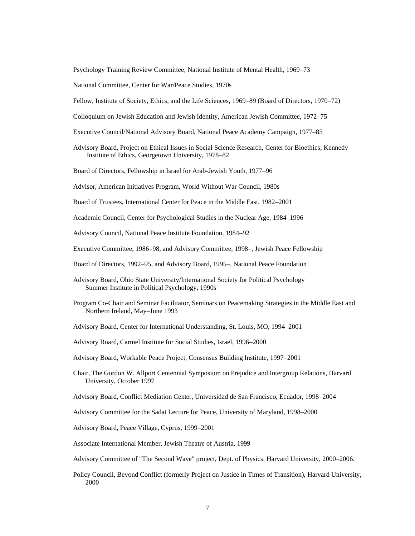Psychology Training Review Committee, National Institute of Mental Health, 1969–73

National Committee, Center for War/Peace Studies, 1970s

Fellow, Institute of Society, Ethics, and the Life Sciences, 1969–89 (Board of Directors, 1970–72)

- Colloquium on Jewish Education and Jewish Identity, American Jewish Committee, 1972–75
- Executive Council/National Advisory Board, National Peace Academy Campaign, 1977–85
- Advisory Board, Project on Ethical Issues in Social Science Research, Center for Bioethics, Kennedy Institute of Ethics, Georgetown University, 1978–82
- Board of Directors, Fellowship in Israel for Arab-Jewish Youth, 1977–96
- Advisor, American Initiatives Program, World Without War Council, 1980s
- Board of Trustees, International Center for Peace in the Middle East, 1982–2001
- Academic Council, Center for Psychological Studies in the Nuclear Age, 1984–1996

Advisory Council, National Peace Institute Foundation, 1984–92

- Executive Committee, 1986–98, and Advisory Committee, 1998–, Jewish Peace Fellowship
- Board of Directors, 1992–95, and Advisory Board, 1995–, National Peace Foundation
- Advisory Board, Ohio State University/International Society for Political Psychology Summer Institute in Political Psychology, 1990s
- Program Co-Chair and Seminar Facilitator, Seminars on Peacemaking Strategies in the Middle East and Northern Ireland, May–June 1993
- Advisory Board, Center for International Understanding, St. Louis, MO, 1994–2001
- Advisory Board, Carmel Institute for Social Studies, Israel, 1996–2000
- Advisory Board, Workable Peace Project, Consensus Building Institute, 1997–2001
- Chair, The Gordon W. Allport Centennial Symposium on Prejudice and Intergroup Relations, Harvard University, October 1997
- Advisory Board, Conflict Mediation Center, Universidad de San Francisco, Ecuador, 1998–2004
- Advisory Committee for the Sadat Lecture for Peace, University of Maryland, 1998–2000
- Advisory Board, Peace Village, Cyprus, 1999–2001

Associate International Member, Jewish Theatre of Austria, 1999–

Advisory Committee of "The Second Wave" project, Dept. of Physics, Harvard University, 2000–2006.

Policy Council, Beyond Conflict (formerly Project on Justice in Times of Transition), Harvard University, 2000–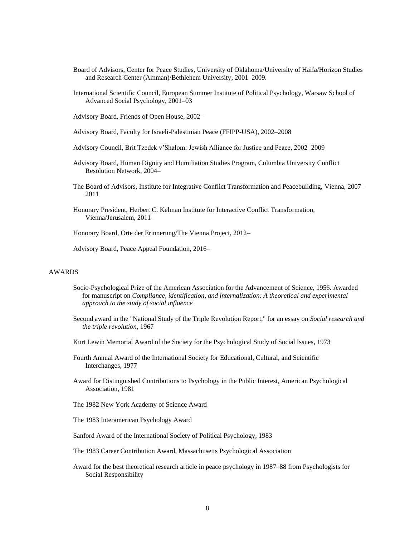- Board of Advisors, Center for Peace Studies, University of Oklahoma/University of Haifa/Horizon Studies and Research Center (Amman)/Bethlehem University, 2001–2009.
- International Scientific Council, European Summer Institute of Political Psychology, Warsaw School of Advanced Social Psychology, 2001–03
- Advisory Board, Friends of Open House, 2002–
- Advisory Board, Faculty for Israeli-Palestinian Peace (FFIPP-USA), 2002–2008
- Advisory Council, Brit Tzedek v'Shalom: Jewish Alliance for Justice and Peace, 2002–2009
- Advisory Board, Human Dignity and Humiliation Studies Program, Columbia University Conflict Resolution Network, 2004–
- The Board of Advisors, Institute for Integrative Conflict Transformation and Peacebuilding, Vienna, 2007– 2011
- Honorary President, Herbert C. Kelman Institute for Interactive Conflict Transformation, Vienna/Jerusalem, 2011–

Honorary Board, Orte der Erinnerung/The Vienna Project, 2012–

Advisory Board, Peace Appeal Foundation, 2016–

# AWARDS

- Socio-Psychological Prize of the American Association for the Advancement of Science, 1956. Awarded for manuscript on *Compliance, identification, and internalization: A theoretical and experimental approach to the study of social influence*
- Second award in the "National Study of the Triple Revolution Report," for an essay on *Social research and the triple revolution*, 1967

Kurt Lewin Memorial Award of the Society for the Psychological Study of Social Issues, 1973

- Fourth Annual Award of the International Society for Educational, Cultural, and Scientific Interchanges, 1977
- Award for Distinguished Contributions to Psychology in the Public Interest, American Psychological Association, 1981
- The 1982 New York Academy of Science Award
- The 1983 Interamerican Psychology Award
- Sanford Award of the International Society of Political Psychology, 1983
- The 1983 Career Contribution Award, Massachusetts Psychological Association
- Award for the best theoretical research article in peace psychology in 1987–88 from Psychologists for Social Responsibility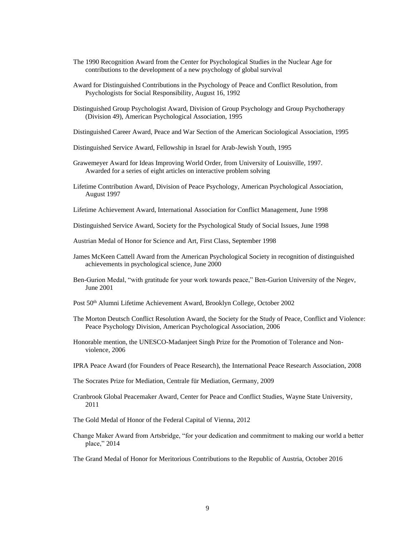- The 1990 Recognition Award from the Center for Psychological Studies in the Nuclear Age for contributions to the development of a new psychology of global survival
- Award for Distinguished Contributions in the Psychology of Peace and Conflict Resolution, from Psychologists for Social Responsibility, August 16, 1992
- Distinguished Group Psychologist Award, Division of Group Psychology and Group Psychotherapy (Division 49), American Psychological Association, 1995
- Distinguished Career Award, Peace and War Section of the American Sociological Association, 1995
- Distinguished Service Award, Fellowship in Israel for Arab-Jewish Youth, 1995
- Grawemeyer Award for Ideas Improving World Order, from University of Louisville, 1997. Awarded for a series of eight articles on interactive problem solving
- Lifetime Contribution Award, Division of Peace Psychology, American Psychological Association, August 1997
- Lifetime Achievement Award, International Association for Conflict Management, June 1998
- Distinguished Service Award, Society for the Psychological Study of Social Issues, June 1998
- Austrian Medal of Honor for Science and Art, First Class, September 1998
- James McKeen Cattell Award from the American Psychological Society in recognition of distinguished achievements in psychological science, June 2000
- Ben-Gurion Medal, "with gratitude for your work towards peace," Ben-Gurion University of the Negev, June 2001
- Post 50<sup>th</sup> Alumni Lifetime Achievement Award, Brooklyn College, October 2002
- The Morton Deutsch Conflict Resolution Award, the Society for the Study of Peace, Conflict and Violence: Peace Psychology Division, American Psychological Association, 2006
- Honorable mention, the UNESCO-Madanjeet Singh Prize for the Promotion of Tolerance and Nonviolence, 2006
- IPRA Peace Award (for Founders of Peace Research), the International Peace Research Association, 2008
- The Socrates Prize for Mediation, Centrale für Mediation, Germany, 2009
- Cranbrook Global Peacemaker Award, Center for Peace and Conflict Studies, Wayne State University, 2011
- The Gold Medal of Honor of the Federal Capital of Vienna, 2012
- Change Maker Award from Artsbridge, "for your dedication and commitment to making our world a better place," 2014

The Grand Medal of Honor for Meritorious Contributions to the Republic of Austria, October 2016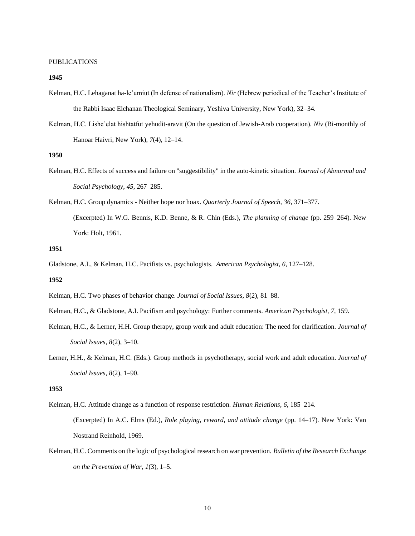#### PUBLICATIONS

### **1945**

- Kelman, H.C. Lehaganat ha-le'umiut (In defense of nationalism). *Nir* (Hebrew periodical of the Teacher's Institute of the Rabbi Isaac Elchanan Theological Seminary, Yeshiva University, New York), 32–34.
- Kelman, H.C. Lishe'elat hishtatfut yehudit-aravit (On the question of Jewish-Arab cooperation). *Niv* (Bi-monthly of Hanoar Haivri, New York), *7*(4), 12–14.

# **1950**

- Kelman, H.C. Effects of success and failure on "suggestibility" in the auto-kinetic situation. *Journal of Abnormal and Social Psychology*, *45*, 267–285.
- Kelman, H.C. Group dynamics Neither hope nor hoax. *Quarterly Journal of Speech, 36*, 371–377. (Excerpted) In W.G. Bennis, K.D. Benne, & R. Chin (Eds.), *The planning of change* (pp. 259–264). New York: Holt, 1961.

#### **1951**

Gladstone, A.I., & Kelman, H.C. Pacifists vs. psychologists. *American Psychologist*, *6*, 127–128.

## **1952**

- Kelman, H.C. Two phases of behavior change. *Journal of Social Issues, 8*(2), 81–88.
- Kelman, H.C., & Gladstone, A.I. Pacifism and psychology: Further comments. *American Psychologist*, *7*, 159.
- Kelman, H.C., & Lerner, H.H. Group therapy, group work and adult education: The need for clarification. *Journal of Social Issues, 8*(2), 3–10.
- Lerner, H.H., & Kelman, H.C. (Eds.). Group methods in psychotherapy, social work and adult education. *Journal of Social Issues, 8*(2), 1–90.

- Kelman, H.C. Attitude change as a function of response restriction. *Human Relations, 6*, 185–214. (Excerpted) In A.C. Elms (Ed.), *Role playing, reward, and attitude change* (pp. 14–17). New York: Van Nostrand Reinhold, 1969.
- Kelman, H.C. Comments on the logic of psychological research on war prevention. *Bulletin of the Research Exchange on the Prevention of War, 1*(3), 1–5.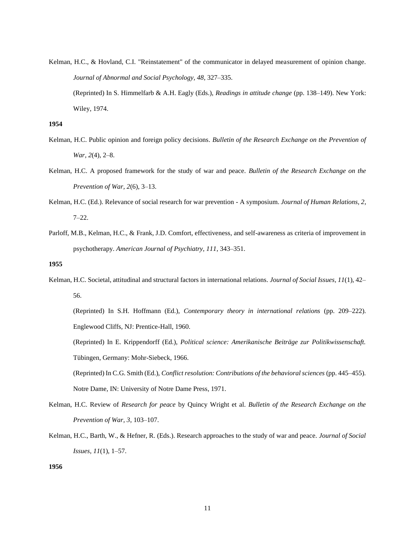Kelman, H.C., & Hovland, C.I. "Reinstatement" of the communicator in delayed measurement of opinion change. *Journal of Abnormal and Social Psychology, 48*, 327–335. (Reprinted) In S. Himmelfarb & A.H. Eagly (Eds.), *Readings in attitude change* (pp. 138–149). New York: Wiley, 1974.

# **1954**

- Kelman, H.C. Public opinion and foreign policy decisions. *Bulletin of the Research Exchange on the Prevention of War, 2*(4), 2–8.
- Kelman, H.C. A proposed framework for the study of war and peace. *Bulletin of the Research Exchange on the Prevention of War, 2*(6), 3–13.
- Kelman, H.C. (Ed.). Relevance of social research for war prevention A symposium. *Journal of Human Relations, 2*, 7–22.
- Parloff, M.B., Kelman, H.C., & Frank, J.D. Comfort, effectiveness, and self-awareness as criteria of improvement in psychotherapy. *American Journal of Psychiatry, 111*, 343–351.

# **1955**

Kelman, H.C. Societal, attitudinal and structural factors in international relations. *Journal of Social Issues, 11*(1), 42– 56.

(Reprinted) In S.H. Hoffmann (Ed.), *Contemporary theory in international relations* (pp. 209–222). Englewood Cliffs, NJ: Prentice-Hall, 1960.

(Reprinted) In E. Krippendorff (Ed.), *Political science: Amerikanische Beiträge zur Politikwissenschaft.* Tübingen, Germany: Mohr-Siebeck, 1966.

(Reprinted) In C.G. Smith (Ed.), *Conflict resolution: Contributions of the behavioral sciences* (pp. 445–455). Notre Dame, IN: University of Notre Dame Press, 1971.

- Kelman, H.C. Review of *Research for peace* by Quincy Wright et al. *Bulletin of the Research Exchange on the Prevention of War, 3*, 103–107.
- Kelman, H.C., Barth, W., & Hefner, R. (Eds.). Research approaches to the study of war and peace. *Journal of Social Issues, 11*(1), 1–57.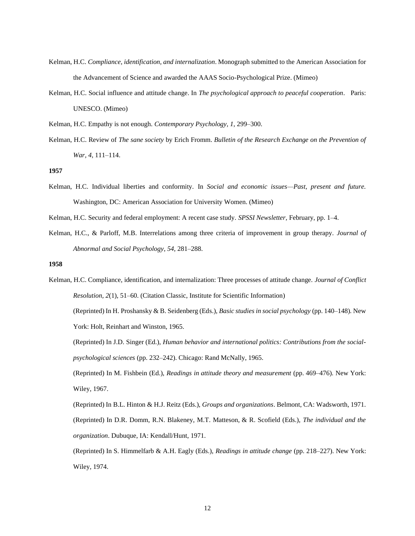- Kelman, H.C. *Compliance, identification, and internalization*. Monograph submitted to the American Association for the Advancement of Science and awarded the AAAS Socio-Psychological Prize. (Mimeo)
- Kelman, H.C. Social influence and attitude change. In *The psychological approach to peaceful cooperation*. Paris: UNESCO. (Mimeo)

Kelman, H.C. Empathy is not enough. *Contemporary Psychology, 1*, 299–300.

Kelman, H.C. Review of *The sane society* by Erich Fromm. *Bulletin of the Research Exchange on the Prevention of War, 4*, 111–114.

### **1957**

Kelman, H.C. Individual liberties and conformity. In *Social and economic issues—Past, present and future.* Washington, DC: American Association for University Women. (Mimeo)

Kelman, H.C. Security and federal employment: A recent case study. *SPSSI Newsletter,* February, pp. 1–4.

Kelman, H.C., & Parloff, M.B. Interrelations among three criteria of improvement in group therapy. *Journal of Abnormal and Social Psychology*, *54*, 281–288.

### **1958**

Kelman, H.C. Compliance, identification, and internalization: Three processes of attitude change. *Journal of Conflict Resolution, 2*(1), 51–60. (Citation Classic, Institute for Scientific Information) (Reprinted) In H. Proshansky & B. Seidenberg (Eds.), *Basic studies in social psychology* (pp. 140–148)*.* New York: Holt, Reinhart and Winston, 1965. (Reprinted) In J.D. Singer (Ed.), *Human behavior and international politics: Contributions from the socialpsychological sciences* (pp. 232–242). Chicago: Rand McNally, 1965.

(Reprinted) In M. Fishbein (Ed.), *Readings in attitude theory and measurement* (pp. 469–476). New York: Wiley, 1967.

(Reprinted) In B.L. Hinton & H.J. Reitz (Eds.), *Groups and organizations*. Belmont, CA: Wadsworth, 1971. (Reprinted) In D.R. Domm, R.N. Blakeney, M.T. Matteson, & R. Scofield (Eds.), *The individual and the organization*. Dubuque, IA: Kendall/Hunt, 1971.

(Reprinted) In S. Himmelfarb & A.H. Eagly (Eds.), *Readings in attitude change* (pp. 218–227). New York: Wiley, 1974.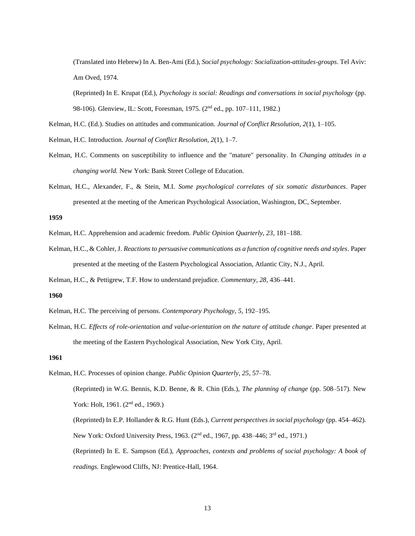(Translated into Hebrew) In A. Ben-Ami (Ed.), *Social psychology: Socialization-attitudes-groups*. Tel Aviv: Am Oved, 1974.

(Reprinted) In E. Krupat (Ed.), *Psychology is social: Readings and conversations in social psychology* (pp. 98-106). Glenview, IL: Scott, Foresman, 1975. (2<sup>nd</sup> ed., pp. 107–111, 1982.)

Kelman, H.C. (Ed.). Studies on attitudes and communication. *Journal of Conflict Resolution, 2*(1), 1–105.

- Kelman, H.C. Introduction. *Journal of Conflict Resolution, 2*(1), 1–7.
- Kelman, H.C. Comments on susceptibility to influence and the "mature" personality. In *Changing attitudes in a changing world.* New York: Bank Street College of Education.
- Kelman, H.C., Alexander, F., & Stein, M.I. *Some psychological correlates of six somatic disturbances*. Paper presented at the meeting of the American Psychological Association, Washington, DC, September.

#### **1959**

- Kelman, H.C. Apprehension and academic freedom. *Public Opinion Quarterly, 23*, 181–188.
- Kelman, H.C., & Cohler, J. *Reactions to persuasive communications as a function of cognitive needs and styles*. Paper presented at the meeting of the Eastern Psychological Association, Atlantic City, N.J., April.

Kelman, H.C., & Pettigrew, T.F. How to understand prejudice. *Commentary, 28*, 436–441.

# **1960**

- Kelman, H.C. The perceiving of persons. *Contemporary Psychology*, *5*, 192–195.
- Kelman, H.C. *Effects of role-orientation and value-orientation on the nature of attitude change*. Paper presented at the meeting of the Eastern Psychological Association, New York City, April.

#### **1961**

Kelman, H.C. Processes of opinion change. *Public Opinion Quarterly, 25*, 57–78. (Reprinted) in W.G. Bennis, K.D. Benne, & R. Chin (Eds.), *The planning of change* (pp. 508–517)*.* New York: Holt, 1961. (2<sup>nd</sup> ed., 1969.) (Reprinted) In E.P. Hollander & R.G. Hunt (Eds.), *Current perspectives in social psychology* (pp. 454–462). New York: Oxford University Press, 1963. (2<sup>nd</sup> ed., 1967, pp. 438–446; 3<sup>rd</sup> ed., 1971.) (Reprinted) In E. E. Sampson (Ed.), *Approaches, contexts and problems of social psychology: A book of readings.* Englewood Cliffs, NJ: Prentice-Hall, 1964.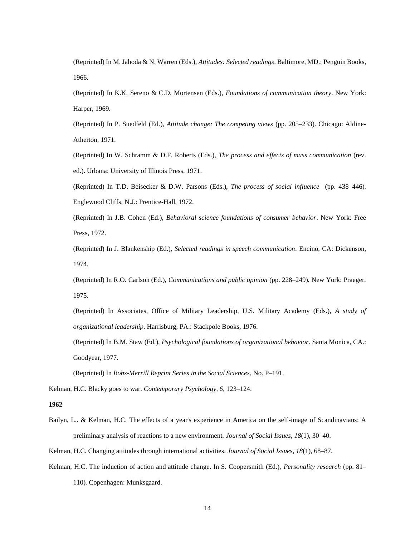(Reprinted) In M. Jahoda & N. Warren (Eds.), *Attitudes: Selected readings*. Baltimore, MD.: Penguin Books, 1966.

(Reprinted) In K.K. Sereno & C.D. Mortensen (Eds.), *Foundations of communication theory*. New York: Harper, 1969.

(Reprinted) In P. Suedfeld (Ed.), *Attitude change: The competing views* (pp. 205–233). Chicago: Aldine-Atherton, 1971.

(Reprinted) In W. Schramm & D.F. Roberts (Eds.), *The process and effects of mass communication* (rev. ed.). Urbana: University of Illinois Press, 1971.

(Reprinted) In T.D. Beisecker & D.W. Parsons (Eds.), *The process of social influence* (pp. 438–446)*.*  Englewood Cliffs, N.J.: Prentice-Hall, 1972.

(Reprinted) In J.B. Cohen (Ed.), *Behavioral science foundations of consumer behavior*. New York: Free Press, 1972.

(Reprinted) In J. Blankenship (Ed.), *Selected readings in speech communication*. Encino, CA: Dickenson, 1974.

(Reprinted) In R.O. Carlson (Ed.), *Communications and public opinion* (pp. 228–249)*.* New York: Praeger, 1975.

(Reprinted) In Associates, Office of Military Leadership, U.S. Military Academy (Eds.), *A study of organizational leadership*. Harrisburg, PA.: Stackpole Books, 1976.

(Reprinted) In B.M. Staw (Ed.), *Psychological foundations of organizational behavior*. Santa Monica, CA.: Goodyear, 1977.

(Reprinted) In *Bobs-Merrill Reprint Series in the Social Sciences*, No. P–191.

Kelman, H.C. Blacky goes to war. *Contemporary Psychology, 6*, 123–124.

**1962**

Bailyn, L.. & Kelman, H.C. The effects of a year's experience in America on the self-image of Scandinavians: A preliminary analysis of reactions to a new environment. *Journal of Social Issues, 18*(1), 30–40.

Kelman, H.C. Changing attitudes through international activities. *Journal of Social Issues, 18*(1), 68–87.

Kelman, H.C. The induction of action and attitude change. In S. Coopersmith (Ed.), *Personality research* (pp. 81–

110)*.* Copenhagen: Munksgaard.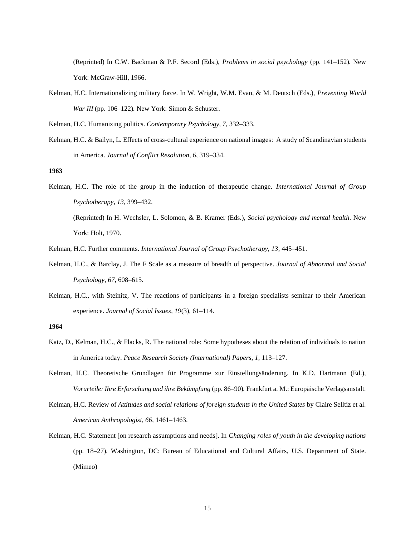(Reprinted) In C.W. Backman & P.F. Secord (Eds.), *Problems in social psychology* (pp. 141–152)*.* New York: McGraw-Hill, 1966.

Kelman, H.C. Internationalizing military force. In W. Wright, W.M. Evan, & M. Deutsch (Eds.), *Preventing World War III* (pp. 106–122)*.* New York: Simon & Schuster.

Kelman, H.C. Humanizing politics. *Contemporary Psychology, 7*, 332–333.

Kelman, H.C. & Bailyn, L. Effects of cross-cultural experience on national images: A study of Scandinavian students in America. *Journal of Conflict Resolution, 6*, 319–334.

**1963**

Kelman, H.C. The role of the group in the induction of therapeutic change. *International Journal of Group Psychotherapy, 13*, 399–432.

(Reprinted) In H. Wechsler, L. Solomon, & B. Kramer (Eds.), *Social psychology and mental health*. New York: Holt, 1970.

Kelman, H.C. Further comments. *International Journal of Group Psychotherapy, 13*, 445–451.

- Kelman, H.C., & Barclay, J. The F Scale as a measure of breadth of perspective. *Journal of Abnormal and Social Psychology, 67*, 608–615.
- Kelman, H.C., with Steinitz, V. The reactions of participants in a foreign specialists seminar to their American experience. *Journal of Social Issues, 19*(3), 61–114.

- Katz, D., Kelman, H.C., & Flacks, R. The national role: Some hypotheses about the relation of individuals to nation in America today. *Peace Research Society (International) Papers, 1*, 113–127.
- Kelman, H.C. Theoretische Grundlagen für Programme zur Einstellungsänderung. In K.D. Hartmann (Ed.), *Vorurteile: Ihre Erforschung und ihre Bekämpfung* (pp. 86–90)*.* Frankfurt a. M.: Europäische Verlagsanstalt.
- Kelman, H.C. Review of *Attitudes and social relations of foreign students in the United States* by Claire Selltiz et al. *American Anthropologist, 66*, 1461–1463.
- Kelman, H.C. Statement [on research assumptions and needs]. In *Changing roles of youth in the developing nations* (pp. 18–27)*.* Washington, DC: Bureau of Educational and Cultural Affairs, U.S. Department of State. (Mimeo)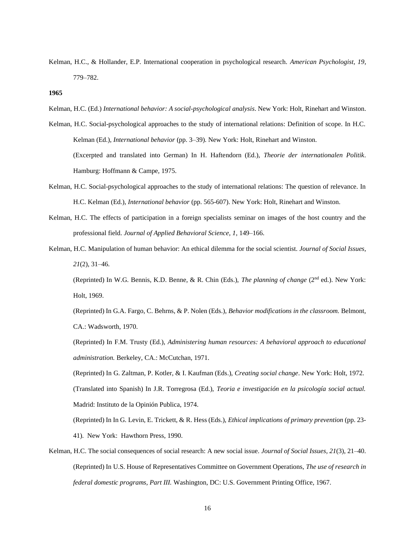- Kelman, H.C., & Hollander, E.P. International cooperation in psychological research. *American Psychologist, 19*, 779–782.
- **1965**
- Kelman, H.C. (Ed.) *International behavior: A social-psychological analysis*. New York: Holt, Rinehart and Winston.
- Kelman, H.C. Social-psychological approaches to the study of international relations: Definition of scope. In H.C. Kelman (Ed.), *International behavior* (pp. 3–39). New York: Holt, Rinehart and Winston. (Excerpted and translated into German) In H. Haftendorn (Ed.), *Theorie der internationalen Politik*. Hamburg: Hoffmann & Campe, 1975.
- Kelman, H.C. Social-psychological approaches to the study of international relations: The question of relevance. In H.C. Kelman (Ed.), *International behavior* (pp. 565-607). New York: Holt, Rinehart and Winston.
- Kelman, H.C. The effects of participation in a foreign specialists seminar on images of the host country and the professional field. *Journal of Applied Behavioral Science, 1*, 149–166.
- Kelman, H.C. Manipulation of human behavior: An ethical dilemma for the social scientist. *Journal of Social Issues, 21*(2), 31–46.

(Reprinted) In W.G. Bennis, K.D. Benne, & R. Chin (Eds.), *The planning of change* (2nd ed.). New York: Holt, 1969.

(Reprinted) In G.A. Fargo, C. Behrns, & P. Nolen (Eds.), *Behavior modifications in the classroom.* Belmont, CA.: Wadsworth, 1970.

(Reprinted) In F.M. Trusty (Ed.), *Administering human resources: A behavioral approach to educational administration.* Berkeley, CA.: McCutchan, 1971.

(Reprinted) In G. Zaltman, P. Kotler, & I. Kaufman (Eds.), *Creating social change*. New York: Holt, 1972. (Translated into Spanish) In J.R. Torregrosa (Ed.), *Teoria e investigación en la psicología social actual.* Madrid: Instituto de la Opinión Publica, 1974.

(Reprinted) In In G. Levin, E. Trickett, & R. Hess (Eds.), *Ethical implications of primary prevention* (pp. 23- 41). New York: Hawthorn Press, 1990.

Kelman, H.C. The social consequences of social research: A new social issue. *Journal of Social Issues, 21*(3), 21–40. (Reprinted) In U.S. House of Representatives Committee on Government Operations, *The use of research in federal domestic programs, Part III.* Washington, DC: U.S. Government Printing Office, 1967.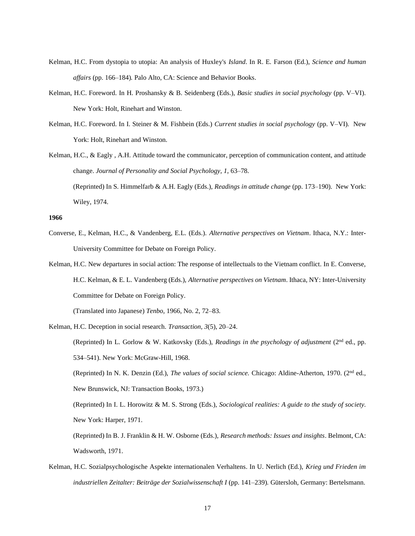- Kelman, H.C. From dystopia to utopia: An analysis of Huxley's *Island*. In R. E. Farson (Ed.), *Science and human affairs* (pp. 166–184)*.* Palo Alto, CA: Science and Behavior Books.
- Kelman, H.C. Foreword. In H. Proshansky & B. Seidenberg (Eds.), *Basic studies in social psychology* (pp. V–VI). New York: Holt, Rinehart and Winston.
- Kelman, H.C. Foreword. In I. Steiner & M. Fishbein (Eds.) *Current studies in social psychology* (pp. V–VI). New York: Holt, Rinehart and Winston.
- Kelman, H.C., & Eagly , A.H. Attitude toward the communicator, perception of communication content, and attitude change. *Journal of Personality and Social Psychology, 1,* 63–78. (Reprinted) In S. Himmelfarb & A.H. Eagly (Eds.), *Readings in attitude change* (pp. 173–190). New York: Wiley, 1974.

- Converse, E., Kelman, H.C., & Vandenberg, E.L. (Eds.). *Alternative perspectives on Vietnam*. Ithaca, N.Y.: Inter-University Committee for Debate on Foreign Policy.
- Kelman, H.C. New departures in social action: The response of intellectuals to the Vietnam conflict. In E. Converse, H.C. Kelman, & E. L. Vandenberg (Eds.), *Alternative perspectives on Vietnam*. Ithaca, NY: Inter-University Committee for Debate on Foreign Policy.

(Translated into Japanese) *Tenbo*, 1966, No. 2, 72–83.

Kelman, H.C. Deception in social research. *Transaction, 3*(5), 20–24.

(Reprinted) In L. Gorlow & W. Katkovsky (Eds.), *Readings in the psychology of adjustment* (2nd ed., pp. 534–541). New York: McGraw-Hill, 1968.

(Reprinted) In N. K. Denzin (Ed.), *The values of social science.* Chicago: Aldine-Atherton, 1970. (2nd ed., New Brunswick, NJ: Transaction Books, 1973.)

(Reprinted) In I. L. Horowitz & M. S. Strong (Eds.), *Sociological realities: A guide to the study of society.* New York: Harper, 1971.

(Reprinted) In B. J. Franklin & H. W. Osborne (Eds.), *Research methods: Issues and insights*. Belmont, CA: Wadsworth, 1971.

Kelman, H.C. Sozialpsychologische Aspekte internationalen Verhaltens. In U. Nerlich (Ed.), *Krieg und Frieden im industriellen Zeitalter: Beiträge der Sozialwissenschaft I* (pp. 141–239)*.* Gütersloh, Germany: Bertelsmann.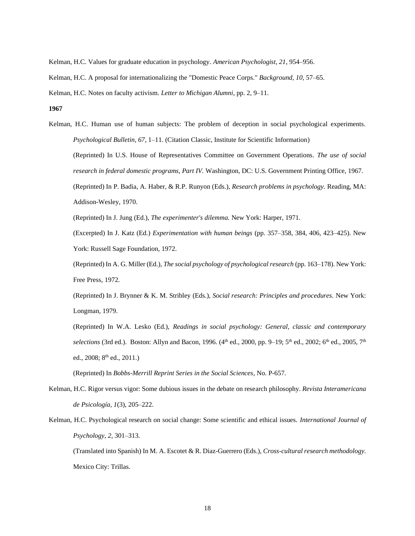Kelman, H.C. Values for graduate education in psychology. *American Psychologist, 21*, 954–956.

Kelman, H.C. A proposal for internationalizing the "Domestic Peace Corps." *Background, 10,* 57–65.

Kelman, H.C. Notes on faculty activism. *Letter to Michigan Alumni*, pp. 2, 9–11.

**1967**

Kelman, H.C. Human use of human subjects: The problem of deception in social psychological experiments. *Psychological Bulletin, 67*, 1–11. (Citation Classic, Institute for Scientific Information) (Reprinted) In U.S. House of Representatives Committee on Government Operations. *The use of social research in federal domestic programs, Part IV.* Washington, DC: U.S. Government Printing Office, 1967. (Reprinted) In P. Badia, A. Haber, & R.P. Runyon (Eds.), *Research problems in psychology.* Reading, MA: Addison-Wesley, 1970.

(Reprinted) In J. Jung (Ed.), *The experimenter's dilemma.* New York: Harper, 1971.

(Excerpted) In J. Katz (Ed.) *Experimentation with human beings* (pp. 357–358, 384, 406, 423–425). New York: Russell Sage Foundation, 1972.

(Reprinted) In A. G. Miller (Ed.), *The social psychology of psychological research* (pp. 163–178). New York: Free Press, 1972.

(Reprinted) In J. Brynner & K. M. Stribley (Eds.), *Social research: Principles and procedures.* New York: Longman, 1979.

(Reprinted) In W.A. Lesko (Ed.), *Readings in social psychology: General, classic and contemporary*  selections (3rd ed.). Boston: Allyn and Bacon, 1996. (4<sup>th</sup> ed., 2000, pp. 9–19; 5<sup>th</sup> ed., 2002; 6<sup>th</sup> ed., 2005, 7<sup>th</sup> ed., 2008; 8<sup>th</sup> ed., 2011.)

(Reprinted) In *Bobbs-Merrill Reprint Series in the Social Sciences*, No. P-657.

- Kelman, H.C. Rigor versus vigor: Some dubious issues in the debate on research philosophy. *Revista Interamericana de Psicología, 1*(3), 205–222.
- Kelman, H.C. Psychological research on social change: Some scientific and ethical issues. *International Journal of Psychology, 2*, 301–313.

(Translated into Spanish) In M. A. Escotet & R. Diaz-Guerrero (Eds.), *Cross-cultural research methodology.* Mexico City: Trillas.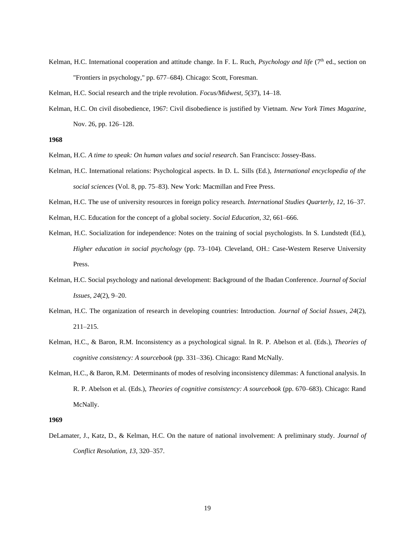- Kelman, H.C. International cooperation and attitude change. In F. L. Ruch, *Psychology and life* (7<sup>th</sup> ed., section on "Frontiers in psychology," pp. 677–684). Chicago: Scott, Foresman.
- Kelman, H.C. Social research and the triple revolution. *Focus/Midwest, 5*(37), 14–18.
- Kelman, H.C. On civil disobedience, 1967: Civil disobedience is justified by Vietnam. *New York Times Magazine*, Nov. 26, pp. 126–128.

- Kelman, H.C. *A time to speak: On human values and social research*. San Francisco: Jossey-Bass.
- Kelman, H.C. International relations: Psychological aspects. In D. L. Sills (Ed.), *International encyclopedia of the social sciences* (Vol. 8, pp. 75–83). New York: Macmillan and Free Press.
- Kelman, H.C. The use of university resources in foreign policy research. *International Studies Quarterly, 12*, 16–37.
- Kelman, H.C. Education for the concept of a global society. *Social Education, 32*, 661–666.
- Kelman, H.C. Socialization for independence: Notes on the training of social psychologists. In S. Lundstedt (Ed.), *Higher education in social psychology* (pp. 73–104)*.* Cleveland, OH.: Case-Western Reserve University Press.
- Kelman, H.C. Social psychology and national development: Background of the Ibadan Conference. *Journal of Social Issues, 24*(2), 9–20.
- Kelman, H.C. The organization of research in developing countries: Introduction. *Journal of Social Issues, 24*(2), 211–215.
- Kelman, H.C., & Baron, R.M. Inconsistency as a psychological signal. In R. P. Abelson et al. (Eds.), *Theories of cognitive consistency: A sourcebook* (pp. 331–336). Chicago: Rand McNally.
- Kelman, H.C., & Baron, R.M. Determinants of modes of resolving inconsistency dilemmas: A functional analysis. In R. P. Abelson et al. (Eds.), *Theories of cognitive consistency: A sourcebook* (pp. 670–683). Chicago: Rand McNally.

# **1969**

DeLamater, J., Katz, D., & Kelman, H.C. On the nature of national involvement: A preliminary study. *Journal of Conflict Resolution, 13*, 320–357.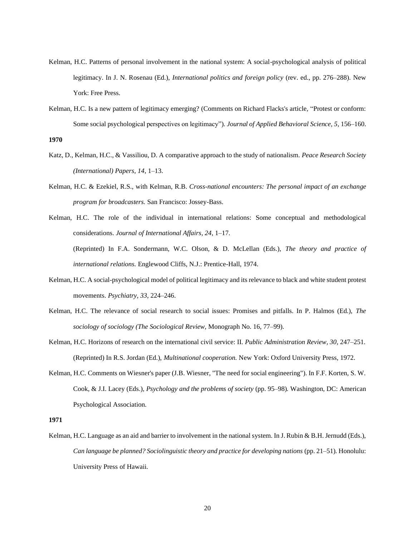- Kelman, H.C. Patterns of personal involvement in the national system: A social-psychological analysis of political legitimacy. In J. N. Rosenau (Ed.), *International politics and foreign policy* (rev. ed., pp. 276–288). New York: Free Press.
- Kelman, H.C. Is a new pattern of legitimacy emerging? (Comments on Richard Flacks's article, "Protest or conform: Some social psychological perspectives on legitimacy"). *Journal of Applied Behavioral Science, 5*, 156–160.

- Katz, D., Kelman, H.C., & Vassiliou, D. A comparative approach to the study of nationalism. *Peace Research Society (International) Papers, 14*, 1–13.
- Kelman, H.C. & Ezekiel, R.S., with Kelman, R.B. *Cross-national encounters: The personal impact of an exchange program for broadcasters.* San Francisco: Jossey-Bass.

Kelman, H.C. The role of the individual in international relations: Some conceptual and methodological considerations. *Journal of International Affairs, 24*, 1–17. (Reprinted) In F.A. Sondermann, W.C. Olson, & D. McLellan (Eds.), *The theory and practice of international relations.* Englewood Cliffs, N.J.: Prentice-Hall, 1974.

- Kelman, H.C. A social-psychological model of political legitimacy and its relevance to black and white student protest movements. *Psychiatry, 33*, 224–246.
- Kelman, H.C. The relevance of social research to social issues: Promises and pitfalls. In P. Halmos (Ed.), *The sociology of sociology (The Sociological Review,* Monograph No. 16, 77–99).
- Kelman, H.C. Horizons of research on the international civil service: II. *Public Administration Review, 30*, 247–251. (Reprinted) In R.S. Jordan (Ed.), *Multinational cooperation.* New York: Oxford University Press, 1972.
- Kelman, H.C. Comments on Wiesner's paper (J.B. Wiesner, "The need for social engineering"). In F.F. Korten, S. W. Cook, & J.I. Lacey (Eds.), *Psychology and the problems of society* (pp. 95–98)*.* Washington, DC: American Psychological Association.

# **1971**

Kelman, H.C. Language as an aid and barrier to involvement in the national system. In J. Rubin & B.H. Jernudd (Eds.), *Can language be planned? Sociolinguistic theory and practice for developing nations* (pp. 21–51)*.* Honolulu: University Press of Hawaii.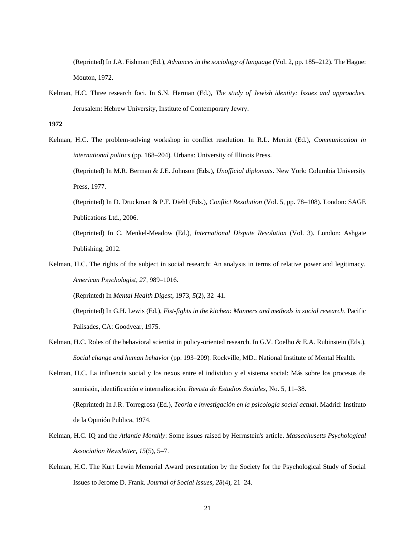(Reprinted) In J.A. Fishman (Ed.), *Advances in the sociology of language* (Vol. 2, pp. 185–212). The Hague: Mouton, 1972.

Kelman, H.C. Three research foci. In S.N. Herman (Ed.), *The study of Jewish identity: Issues and approaches.*  Jerusalem: Hebrew University, Institute of Contemporary Jewry.

**1972**

Kelman, H.C. The problem-solving workshop in conflict resolution. In R.L. Merritt (Ed.), *Communication in international politics* (pp. 168–204)*.* Urbana: University of Illinois Press. (Reprinted) In M.R. Berman & J.E. Johnson (Eds.), *Unofficial diplomats*. New York: Columbia University

Press, 1977.

(Reprinted) In D. Druckman & P.F. Diehl (Eds.), *Conflict Resolution* (Vol. 5, pp. 78–108)*.* London: SAGE Publications Ltd., 2006.

(Reprinted) In C. Menkel-Meadow (Ed.), *International Dispute Resolution* (Vol. 3). London: Ashgate Publishing, 2012.

Kelman, H.C. The rights of the subject in social research: An analysis in terms of relative power and legitimacy. *American Psychologist, 27*, 989–1016.

(Reprinted) In *Mental Health Digest*, 1973, *5*(2), 32–41.

(Reprinted) In G.H. Lewis (Ed.), *Fist-fights in the kitchen: Manners and methods in social research*. Pacific Palisades, CA: Goodyear, 1975.

- Kelman, H.C. Roles of the behavioral scientist in policy-oriented research. In G.V. Coelho & E.A. Rubinstein (Eds.), *Social change and human behavior* (pp. 193–209)*.* Rockville, MD.: National Institute of Mental Health.
- Kelman, H.C. La influencia social y los nexos entre el individuo y el sistema social: Más sobre los procesos de sumisión, identificación e internalización. *Revista de Estudios Sociales*, No. 5, 11–38. (Reprinted) In J.R. Torregrosa (Ed.), *Teoria e investigación en la psicología social actual*. Madrid: Instituto de la Opinión Publica, 1974.
- Kelman, H.C. IQ and the *Atlantic Monthly*: Some issues raised by Herrnstein's article. *Massachusetts Psychological Association Newsletter, 15*(5), 5–7.
- Kelman, H.C. The Kurt Lewin Memorial Award presentation by the Society for the Psychological Study of Social Issues to Jerome D. Frank. *Journal of Social Issues, 28*(4), 21–24.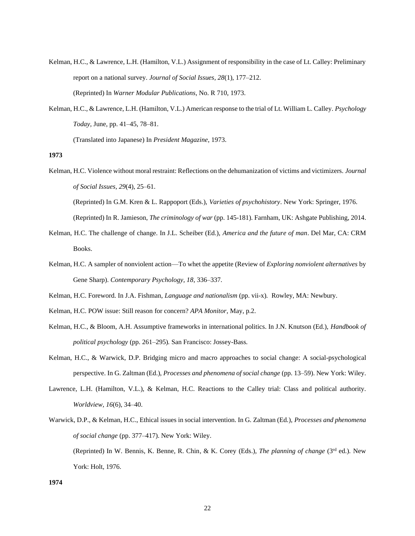- Kelman, H.C., & Lawrence, L.H. (Hamilton, V.L.) Assignment of responsibility in the case of Lt. Calley: Preliminary report on a national survey. *Journal of Social Issues, 28*(1), 177–212. (Reprinted) In *Warner Modular Publications*, No. R 710, 1973.
- Kelman, H.C., & Lawrence, L.H. (Hamilton, V.L.) American response to the trial of Lt. William L. Calley. *Psychology Today,* June, pp. 41–45, 78–81.

(Translated into Japanese) In *President Magazine*, 1973.

Kelman, H.C. Violence without moral restraint: Reflections on the dehumanization of victims and victimizers. *Journal of Social Issues, 29*(4), 25–61. (Reprinted) In G.M. Kren & L. Rappoport (Eds.), *Varieties of psychohistory*. New York: Springer, 1976.

(Reprinted) In R. Jamieson, *The criminology of war* (pp. 145-181). Farnham, UK: Ashgate Publishing, 2014.

- Kelman, H.C. The challenge of change. In J.L. Scheiber (Ed.), *America and the future of man*. Del Mar, CA: CRM Books.
- Kelman, H.C. A sampler of nonviolent action—To whet the appetite (Review of *Exploring nonviolent alternatives* by Gene Sharp). *Contemporary Psychology, 18*, 336–337.
- Kelman, H.C. Foreword. In J.A. Fishman, *Language and nationalism* (pp. vii-x)*.* Rowley, MA: Newbury.
- Kelman, H.C. POW issue: Still reason for concern? *APA Monitor*, May, p.2.
- Kelman, H.C., & Bloom, A.H. Assumptive frameworks in international politics. In J.N. Knutson (Ed.), *Handbook of political psychology* (pp. 261–295)*.* San Francisco: Jossey-Bass.
- Kelman, H.C., & Warwick, D.P. Bridging micro and macro approaches to social change: A social-psychological perspective. In G. Zaltman (Ed.), *Processes and phenomena of social change* (pp. 13–59). New York: Wiley.
- Lawrence, L.H. (Hamilton, V.L.), & Kelman, H.C. Reactions to the Calley trial: Class and political authority. *Worldview, 16*(6), 34–40.
- Warwick, D.P., & Kelman, H.C., Ethical issues in social intervention. In G. Zaltman (Ed.), *Processes and phenomena of social change* (pp. 377–417). New York: Wiley. (Reprinted) In W. Bennis, K. Benne, R. Chin, & K. Corey (Eds.), *The planning of change* (3rd ed.). New York: Holt, 1976.

**<sup>1973</sup>**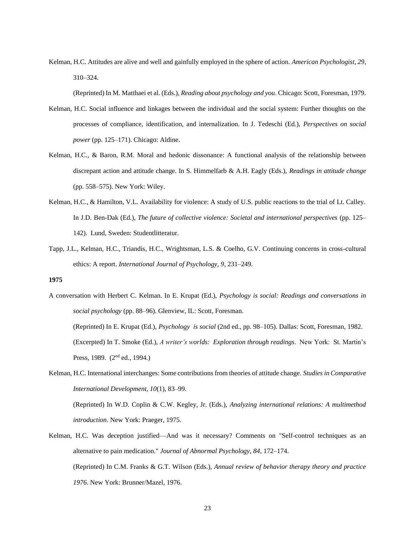Kelman, H.C. Attitudes are alive and well and gainfully employed in the sphere of action. *American Psychologist, 29*, 310–324.

(Reprinted) In M. Matthaei et al. (Eds.), *Reading about psychology and you*. Chicago: Scott, Foresman, 1979.

- Kelman, H.C. Social influence and linkages between the individual and the social system: Further thoughts on the processes of compliance, identification, and internalization. In J. Tedeschi (Ed.), *Perspectives on social power* (pp. 125–171). Chicago: Aldine.
- Kelman, H.C., & Baron, R.M. Moral and hedonic dissonance: A functional analysis of the relationship between discrepant action and attitude change. In S. Himmelfarb & A.H. Eagly (Eds.), *Readings in attitude change* (pp. 558–575). New York: Wiley.
- Kelman, H.C., & Hamilton, V.L. Availability for violence: A study of U.S. public reactions to the trial of Lt. Calley. In J.D. Ben-Dak (Ed.), *The future of collective violence: Societal and international perspectives* (pp. 125– 142). Lund, Sweden: Studentlitteratur.
- Tapp, J.L., Kelman, H.C., Triandis, H.C., Wrightsman, L.S. & Coelho, G.V. Continuing concerns in cross-cultural ethics: A report. *International Journal of Psychology, 9*, 231–249.

- A conversation with Herbert C. Kelman. In E. Krupat (Ed.), *Psychology is social: Readings and conversations in social psychology* (pp. 88–96). Glenview, IL: Scott, Foresman. (Reprinted) In E. Krupat (Ed.), *Psychology is social* (2nd ed., pp. 98–105). Dallas: Scott, Foresman, 1982. (Excerpted) In T. Smoke (Ed.), *A writer's worlds: Exploration through readings*. New York: St. Martin's Press, 1989. (2<sup>nd</sup> ed., 1994.)
- Kelman, H.C. International interchanges: Some contributions from theories of attitude change. *Studies in Comparative International Development, 10*(1), 83–99. (Reprinted) In W.D. Coplin & C.W. Kegley, Jr. (Eds.), *Analyzing international relations: A multimethod introduction*. New York: Praeger, 1975.
- Kelman, H.C. Was deception justified—And was it necessary? Comments on "Self-control techniques as an alternative to pain medication." *Journal of Abnormal Psychology, 84*, 172–174. (Reprinted) In C.M. Franks & G.T. Wilson (Eds.), *Annual review of behavior therapy theory and practice 1976*. New York: Brunner/Mazel, 1976.

**<sup>1975</sup>**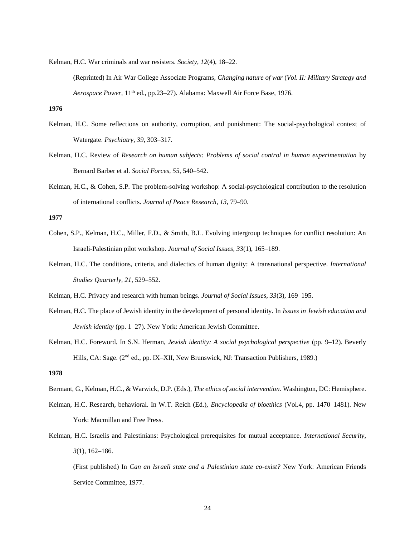Kelman, H.C. War criminals and war resisters. *Society, 12*(4), 18–22.

(Reprinted) In Air War College Associate Programs, *Changing nature of war* (*Vol. II: Military Strategy and Aerospace Power,* 11th ed., pp.23–27). Alabama: Maxwell Air Force Base, 1976.

# **1976**

- Kelman, H.C. Some reflections on authority, corruption, and punishment: The social-psychological context of Watergate. *Psychiatry, 39*, 303–317.
- Kelman, H.C. Review of *Research on human subjects: Problems of social control in human experimentation* by Bernard Barber et al. *Social Forces, 55*, 540–542.
- Kelman, H.C., & Cohen, S.P. The problem-solving workshop: A social-psychological contribution to the resolution of international conflicts. *Journal of Peace Research, 13*, 79–90.

#### **1977**

- Cohen, S.P., Kelman, H.C., Miller, F.D., & Smith, B.L. Evolving intergroup techniques for conflict resolution: An Israeli-Palestinian pilot workshop. *Journal of Social Issues, 33*(1), 165–189.
- Kelman, H.C. The conditions, criteria, and dialectics of human dignity: A transnational perspective. *International Studies Quarterly, 21*, 529–552.
- Kelman, H.C. Privacy and research with human beings. *Journal of Social Issues, 33*(3), 169–195.
- Kelman, H.C. The place of Jewish identity in the development of personal identity. In *Issues in Jewish education and Jewish identity* (pp. 1–27). New York: American Jewish Committee.
- Kelman, H.C. Foreword. In S.N. Herman, *Jewish identity: A social psychological perspective* (pp. 9–12). Beverly Hills, CA: Sage. (2<sup>nd</sup> ed., pp. IX–XII, New Brunswick, NJ: Transaction Publishers, 1989.)

## **1978**

- Bermant, G., Kelman, H.C., & Warwick, D.P. (Eds.), *The ethics of social intervention.* Washington, DC: Hemisphere.
- Kelman, H.C. Research, behavioral. In W.T. Reich (Ed.), *Encyclopedia of bioethics* (Vol.4, pp. 1470–1481). New York: Macmillan and Free Press.
- Kelman, H.C. Israelis and Palestinians: Psychological prerequisites for mutual acceptance. *International Security, 3*(1), 162–186.

(First published) In *Can an Israeli state and a Palestinian state co-exist?* New York: American Friends Service Committee, 1977.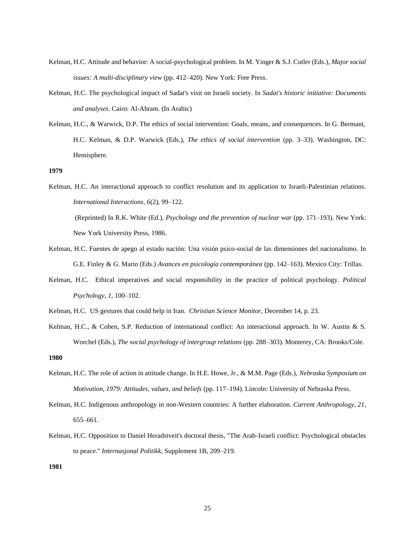- Kelman, H.C. Attitude and behavior: A social-psychological problem. In M. Yinger & S.J. Cutler (Eds.), *Major social issues: A multi-disciplinary view* (pp. 412–420). New York: Free Press.
- Kelman, H.C. The psychological impact of Sadat's visit on Israeli society. In *Sadat's historic initiative: Documents and analyses*. Cairo: Al-Ahram. (In Arabic)
- Kelman, H.C., & Warwick, D.P. The ethics of social intervention: Goals, means, and consequences. In G. Bermant, H.C. Kelman, & D.P. Warwick (Eds.), *The ethics of social intervention* (pp. 3–33). Washington, DC: Hemisphere.

Kelman, H.C. An interactional approach to conflict resolution and its application to Israeli-Palestinian relations. *International Interactions, 6*(2), 99–122. (Reprinted) In R.K. White (Ed.), *Psychology and the prevention of nuclear war* (pp. 171–193). New York:

New York University Press, 1986.

- Kelman, H.C. Fuentes de apego al estado nación: Una visión psico-social de las dimensiones del nacionalismo. In G.E. Finley & G. Marin (Eds.) *Avances en psicología contemporánea* (pp. 142–163). Mexico City: Trillas.
- Kelman, H.C. Ethical imperatives and social responsibility in the practice of political psychology. *Political Psychology, 1,* 100–102.
- Kelman, H.C. US gestures that could help in Iran. *Christian Science Monitor*, December 14, p. 23.
- Kelman, H.C., & Cohen, S.P. Reduction of international conflict: An interactional approach. In W. Austin & S. Worchel (Eds.), *The social psychology of intergroup relations* (pp. 288–303). Monterey, CA: Brooks/Cole.

**1980**

- Kelman, H.C. The role of action in attitude change. In H.E. Howe, Jr., & M.M. Page (Eds.), *Nebraska Symposium on Motivation, 1979: Attitudes, values, and beliefs* (pp. 117–194). Lincoln: University of Nebraska Press.
- Kelman, H.C. Indigenous anthropology in non-Western countries: A further elaboration. *Current Anthropology, 21*, 655–661.
- Kelman, H.C. Opposition to Daniel Heradstveit's doctoral thesis, "The Arab-Israeli conflict: Psychological obstacles to peace." *Internasjonal Politikk*, Supplement 1B, 209–219.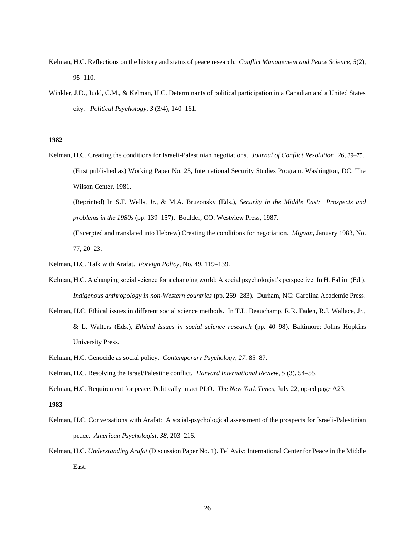- Kelman, H.C. Reflections on the history and status of peace research. *Conflict Management and Peace Science*, *5*(2), 95–110.
- Winkler, J.D., Judd, C.M., & Kelman, H.C. Determinants of political participation in a Canadian and a United States city. *Political Psychology*, *3* (3/4), 140–161.

Kelman, H.C. Creating the conditions for Israeli-Palestinian negotiations. *Journal of Conflict Resolution*, *26*, 39–75. (First published as) Working Paper No. 25, International Security Studies Program. Washington, DC: The Wilson Center, 1981.

(Reprinted) In S.F. Wells, Jr., & M.A. Bruzonsky (Eds.), *Security in the Middle East: Prospects and problems in the 1980s* (pp. 139–157). Boulder, CO: Westview Press, 1987.

(Excerpted and translated into Hebrew) Creating the conditions for negotiation. *Migvan*, January 1983, No. 77, 20–23.

- Kelman, H.C. Talk with Arafat. *Foreign Policy*, No. 49, 119–139.
- Kelman, H.C. A changing social science for a changing world: A social psychologist's perspective. In H. Fahim (Ed.), *Indigenous anthropology in non-Western countries* (pp. 269–283). Durham, NC: Carolina Academic Press.
- Kelman, H.C. Ethical issues in different social science methods. In T.L. Beauchamp, R.R. Faden, R.J. Wallace, Jr., & L. Walters (Eds.), *Ethical issues in social science research* (pp. 40–98). Baltimore: Johns Hopkins University Press.
- Kelman, H.C. Genocide as social policy. *Contemporary Psychology*, *27*, 85–87.
- Kelman, H.C. Resolving the Israel/Palestine conflict. *Harvard International Review*, *5* (3), 54–55.

Kelman, H.C. Requirement for peace: Politically intact PLO. *The New York Times*, July 22, op-ed page A23.

- Kelman, H.C. Conversations with Arafat: A social-psychological assessment of the prospects for Israeli-Palestinian peace. *American Psychologist*, *38*, 203–216.
- Kelman, H.C. *Understanding Arafat* (Discussion Paper No. 1). Tel Aviv: International Center for Peace in the Middle East.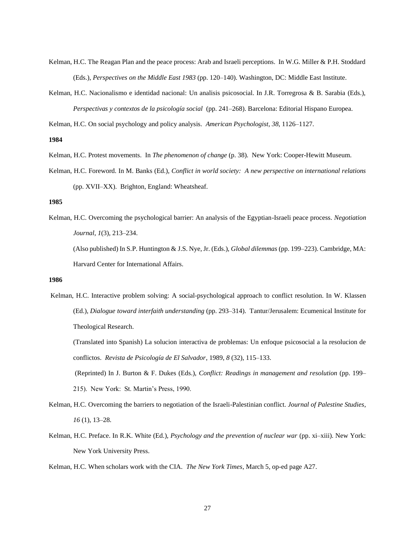- Kelman, H.C. The Reagan Plan and the peace process: Arab and Israeli perceptions. In W.G. Miller & P.H. Stoddard (Eds.), *Perspectives on the Middle East 1983* (pp. 120–140). Washington, DC: Middle East Institute.
- Kelman, H.C. Nacionalismo e identidad nacional: Un analisis psicosocial. In J.R. Torregrosa & B. Sarabia (Eds.), *Perspectivas y contextos de la psicología social* (pp. 241–268). Barcelona: Editorial Hispano Europea.

Kelman, H.C. On social psychology and policy analysis. *American Psychologist*, *38*, 1126–1127.

**1984**

- Kelman, H.C. Protest movements. In *The phenomenon of change* (p. 38). New York: Cooper-Hewitt Museum.
- Kelman, H.C. Foreword. In M. Banks (Ed.), *Conflict in world society: A new perspective on international relations* (pp. XVII–XX). Brighton, England: Wheatsheaf.

**1985**

Kelman, H.C. Overcoming the psychological barrier: An analysis of the Egyptian-Israeli peace process. *Negotiation Journal*, *1*(3), 213–234. (Also published) In S.P. Huntington & J.S. Nye, Jr. (Eds.), *Global dilemmas* (pp. 199–223). Cambridge, MA: Harvard Center for International Affairs.

**1986**

Kelman, H.C. Interactive problem solving: A social-psychological approach to conflict resolution. In W. Klassen (Ed.), *Dialogue toward interfaith understanding* (pp. 293–314). Tantur/Jerusalem: Ecumenical Institute for Theological Research.

(Translated into Spanish) La solucion interactiva de problemas: Un enfoque psicosocial a la resolucion de conflictos. *Revista de Psicología de El Salvador*, 1989, *8* (32), 115–133.

(Reprinted) In J. Burton & F. Dukes (Eds.), *Conflict: Readings in management and resolution* (pp. 199– 215). New York: St. Martin's Press, 1990.

- Kelman, H.C. Overcoming the barriers to negotiation of the Israeli-Palestinian conflict. *Journal of Palestine Studies*, *16* (1), 13–28.
- Kelman, H.C. Preface. In R.K. White (Ed.), *Psychology and the prevention of nuclear war* (pp. xi–xiii). New York: New York University Press.
- Kelman, H.C. When scholars work with the CIA. *The New York Times*, March 5, op-ed page A27.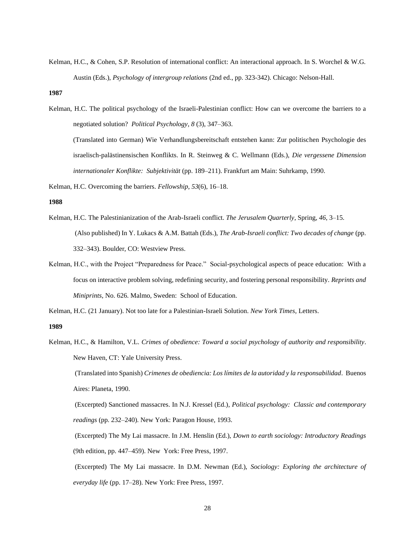Kelman, H.C., & Cohen, S.P. Resolution of international conflict: An interactional approach. In S. Worchel & W.G. Austin (Eds.), *Psychology of intergroup relations* (2nd ed., pp. 323-342). Chicago: Nelson-Hall.

**1987**

Kelman, H.C. The political psychology of the Israeli-Palestinian conflict: How can we overcome the barriers to a negotiated solution? *Political Psychology*, *8* (3), 347–363.

(Translated into German) Wie Verhandlungsbereitschaft entstehen kann: Zur politischen Psychologie des israelisch-palästinensischen Konflikts. In R. Steinweg & C. Wellmann (Eds.), *Die vergessene Dimension internationaler Konflikte: Subjektivität* (pp. 189–211). Frankfurt am Main: Suhrkamp, 1990.

Kelman, H.C. Overcoming the barriers. *Fellowship*, *53*(6), 16–18.

**1988**

- Kelman, H.C. The Palestinianization of the Arab-Israeli conflict. *The Jerusalem Quarterly*, Spring, *46*, 3–15. (Also published) In Y. Lukacs & A.M. Battah (Eds.), *The Arab-Israeli conflict: Two decades of change* (pp. 332–343). Boulder, CO: Westview Press.
- Kelman, H.C., with the Project "Preparedness for Peace." Social-psychological aspects of peace education: With a focus on interactive problem solving, redefining security, and fostering personal responsibility. *Reprints and Miniprints*, No. 626. Malmo, Sweden: School of Education.

Kelman, H.C. (21 January). Not too late for a Palestinian-Israeli Solution. *New York Times,* Letters.

**1989**

Kelman, H.C., & Hamilton, V.L. *Crimes of obedience: Toward a social psychology of authority and responsibility*. New Haven, CT: Yale University Press.

(Translated into Spanish) *Crimenes de obediencia: Los límites de la autoridad y la responsabilidad*. Buenos Aires: Planeta, 1990.

(Excerpted) Sanctioned massacres. In N.J. Kressel (Ed.), *Political psychology: Classic and contemporary readings* (pp. 232–240). New York: Paragon House, 1993.

(Excerpted) The My Lai massacre. In J.M. Henslin (Ed.), *Down to earth sociology: Introductory Readings* (9th edition, pp. 447–459). New York: Free Press, 1997.

(Excerpted) The My Lai massacre. In D.M. Newman (Ed.), *Sociology: Exploring the architecture of everyday life* (pp. 17–28). New York: Free Press, 1997.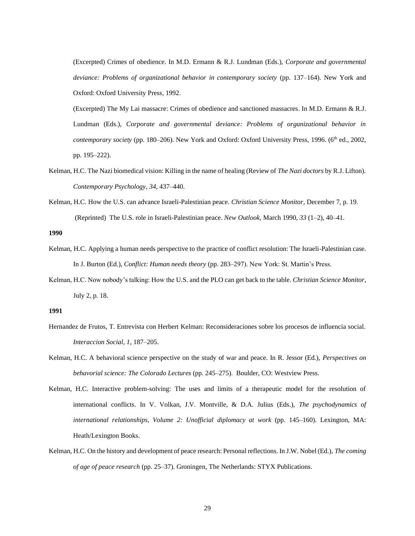(Excerpted) Crimes of obedience. In M.D. Ermann & R.J. Lundman (Eds.), *Corporate and governmental deviance: Problems of organizational behavior in contemporary society* (pp. 137–164). New York and Oxford: Oxford University Press, 1992.

(Excerpted) The My Lai massacre: Crimes of obedience and sanctioned massacres. In M.D. Ermann & R.J. Lundman (Eds.), *Corporate and governmental deviance: Problems of organizational behavior in contemporary society (pp. 180–206).* New York and Oxford: Oxford University Press, 1996. (6<sup>th</sup> ed., 2002, pp. 195–222).

- Kelman, H.C. The Nazi biomedical vision: Killing in the name of healing (Review of *The Nazi doctors* by R.J. Lifton). *Contemporary Psychology*, *34*, 437–440.
- Kelman, H.C. How the U.S. can advance Israeli-Palestinian peace. *Christian Science Monitor*, December 7, p. 19. (Reprinted) The U.S. role in Israeli-Palestinian peace. *New Outlook*, March 1990, *33* (1–2), 40–41.

**1990**

- Kelman, H.C. Applying a human needs perspective to the practice of conflict resolution: The Israeli-Palestinian case. In J. Burton (Ed.), *Conflict: Human needs theory* (pp. 283–297). New York: St. Martin's Press.
- Kelman, H.C. Now nobody's talking: How the U.S. and the PLO can get back to the table. *Christian Science Monitor*, July 2, p. 18.

- Hernandez de Frutos, T. Entrevista con Herbert Kelman: Reconsideraciones sobre los procesos de influencia social. *Interaccion Social*, *1*, 187–205.
- Kelman, H.C. A behavioral science perspective on the study of war and peace. In R. Jessor (Ed.), *Perspectives on behavorial science: The Colorado Lectures* (pp. 245–275). Boulder, CO: Westview Press.
- Kelman, H.C. Interactive problem-solving: The uses and limits of a therapeutic model for the resolution of international conflicts. In V. Volkan, J.V. Montville, & D.A. Julius (Eds.), *The psychodynamics of international relationships, Volume 2: Unofficial diplomacy at work* (pp. 145–160). Lexington, MA: Heath/Lexington Books.
- Kelman, H.C. On the history and development of peace research: Personal reflections. In J.W. Nobel (Ed.), *The coming of age of peace research* (pp. 25–37). Groningen, The Netherlands: STYX Publications.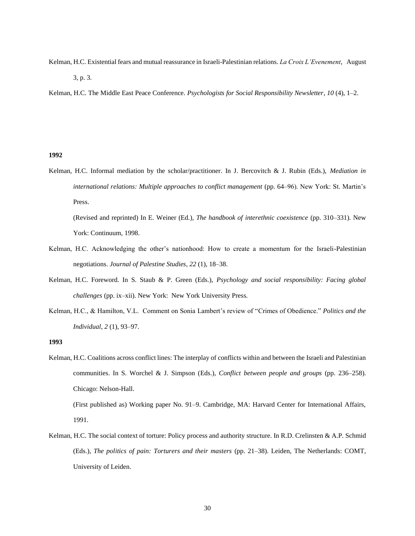Kelman, H.C. Existential fears and mutual reassurance in Israeli-Palestinian relations. *La Croix L'Evenement*, August

3, p. 3.

Kelman, H.C. The Middle East Peace Conference. *Psychologists for Social Responsibility Newsletter*, *10* (4), 1–2.

#### **1992**

Kelman, H.C. Informal mediation by the scholar/practitioner. In J. Bercovitch & J. Rubin (Eds.), *Mediation in international relations: Multiple approaches to conflict management* (pp. 64–96). New York: St. Martin's Press.

(Revised and reprinted) In E. Weiner (Ed.), *The handbook of interethnic coexistence* (pp. 310–331). New York: Continuum, 1998.

- Kelman, H.C. Acknowledging the other's nationhood: How to create a momentum for the Israeli-Palestinian negotiations. *Journal of Palestine Studies*, *22* (1), 18–38.
- Kelman, H.C. Foreword. In S. Staub & P. Green (Eds.), *Psychology and social responsibility: Facing global challenges* (pp. ix–xii). New York: New York University Press.
- Kelman, H.C., & Hamilton, V.L. Comment on Sonia Lambert's review of "Crimes of Obedience." *Politics and the Individual*, *2* (1), 93–97.

- Kelman, H.C. Coalitions across conflict lines: The interplay of conflicts within and between the Israeli and Palestinian communities. In S. Worchel & J. Simpson (Eds.), *Conflict between people and groups* (pp. 236–258). Chicago: Nelson-Hall. (First published as) Working paper No. 91–9. Cambridge, MA: Harvard Center for International Affairs, 1991.
- Kelman, H.C. The social context of torture: Policy process and authority structure. In R.D. Crelinsten & A.P. Schmid (Eds.), *The politics of pain: Torturers and their masters* (pp. 21–38). Leiden, The Netherlands: COMT, University of Leiden.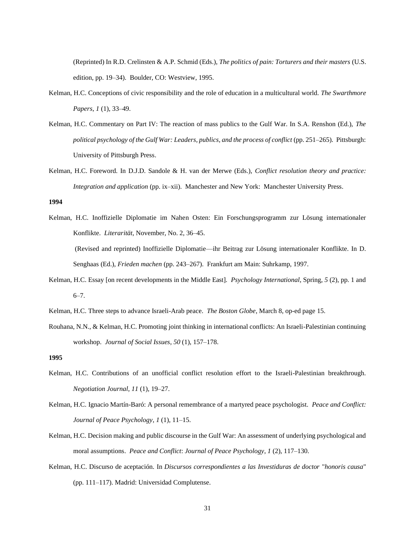(Reprinted) In R.D. Crelinsten & A.P. Schmid (Eds.), *The politics of pain: Torturers and their masters* (U.S. edition, pp. 19–34). Boulder, CO: Westview, 1995.

- Kelman, H.C. Conceptions of civic responsibility and the role of education in a multicultural world. *The Swarthmore Papers*, *1* (1), 33–49.
- Kelman, H.C. Commentary on Part IV: The reaction of mass publics to the Gulf War. In S.A. Renshon (Ed.), *The political psychology of the Gulf War: Leaders, publics, and the process of conflict* (pp. 251–265). Pittsburgh: University of Pittsburgh Press.
- Kelman, H.C. Foreword. In D.J.D. Sandole & H. van der Merwe (Eds.), *Conflict resolution theory and practice: Integration and application* (pp. ix–xii). Manchester and New York: Manchester University Press.

**1994**

Kelman, H.C. Inoffizielle Diplomatie im Nahen Osten: Ein Forschungsprogramm zur Lösung internationaler Konflikte. *Literarität*, November, No. 2, 36–45. (Revised and reprinted) Inoffizielle Diplomatie—ihr Beitrag zur Lösung internationaler Konflikte. In D.

Senghaas (Ed.), *Frieden machen* (pp. 243–267). Frankfurt am Main: Suhrkamp, 1997.

- Kelman, H.C. Essay [on recent developments in the Middle East]. *Psychology International*, Spring, *5* (2), pp. 1 and 6–7.
- Kelman, H.C. Three steps to advance Israeli-Arab peace. *The Boston Globe*, March 8, op-ed page 15.
- Rouhana, N.N., & Kelman, H.C. Promoting joint thinking in international conflicts: An Israeli-Palestinian continuing workshop. *Journal of Social Issues*, *50* (1), 157–178.

- Kelman, H.C. Contributions of an unofficial conflict resolution effort to the Israeli-Palestinian breakthrough. *Negotiation Journal*, *11* (1), 19–27.
- Kelman, H.C. Ignacio Martín-Baró: A personal remembrance of a martyred peace psychologist. *Peace and Conflict: Journal of Peace Psychology*, *1* (1), 11–15.
- Kelman, H.C. Decision making and public discourse in the Gulf War: An assessment of underlying psychological and moral assumptions. *Peace and Conflict*: *Journal of Peace Psychology*, *1* (2), 117–130.
- Kelman, H.C. Discurso de aceptación. In *Discursos correspondientes a las Investiduras de doctor* "*honoris causa*" (pp. 111–117). Madrid: Universidad Complutense.

**<sup>1995</sup>**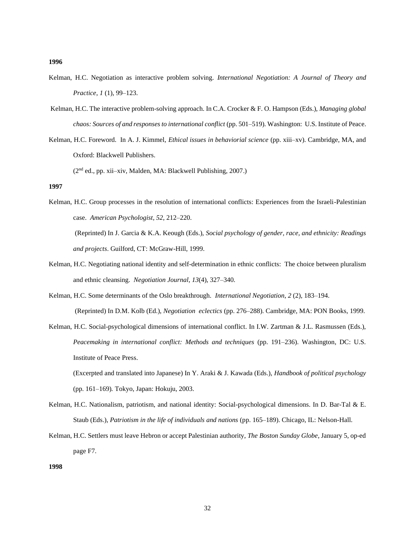- Kelman, H.C. Negotiation as interactive problem solving. *International Negotiation: A Journal of Theory and Practice*, *1* (1), 99–123.
- Kelman, H.C. The interactive problem-solving approach. In C.A. Crocker & F. O. Hampson (Eds.), *Managing global chaos: Sources of and responses to international conflict* (pp. 501–519). Washington: U.S. Institute of Peace.
- Kelman, H.C. Foreword. In A. J. Kimmel, *Ethical issues in behaviorial science* (pp. xiii–xv). Cambridge, MA, and Oxford: Blackwell Publishers.

(2nd ed., pp. xii–xiv, Malden, MA: Blackwell Publishing, 2007.)

# **1997**

Kelman, H.C. Group processes in the resolution of international conflicts: Experiences from the Israeli-Palestinian case. *American Psychologist, 52*, 212–220.

(Reprinted) In J. Garcia & K.A. Keough (Eds.), *Social psychology of gender, race, and ethnicity: Readings and projects*. Guilford, CT: McGraw-Hill, 1999.

- Kelman, H.C. Negotiating national identity and self-determination in ethnic conflicts: The choice between pluralism and ethnic cleansing. *Negotiation Journal*, *13*(4), 327–340.
- Kelman, H.C. Some determinants of the Oslo breakthrough. *International Negotiation*, *2* (2), 183–194. (Reprinted) In D.M. Kolb (Ed.), *Negotiation eclectics* (pp. 276–288). Cambridge, MA: PON Books, 1999.
- Kelman, H.C. Social-psychological dimensions of international conflict. In I.W. Zartman & J.L. Rasmussen (Eds.), *Peacemaking in international conflict: Methods and techniques* (pp. 191–236). Washington, DC: U.S. Institute of Peace Press.

(Excerpted and translated into Japanese) In Y. Araki & J. Kawada (Eds.), *Handbook of political psychology*  (pp. 161–169)*.* Tokyo, Japan: Hokuju, 2003.

- Kelman, H.C. Nationalism, patriotism, and national identity: Social-psychological dimensions. In D. Bar-Tal & E. Staub (Eds.), *Patriotism in the life of individuals and nations* (pp. 165–189). Chicago, IL: Nelson-Hall.
- Kelman, H.C. Settlers must leave Hebron or accept Palestinian authority, *The Boston Sunday Globe*, January 5, op-ed page F7.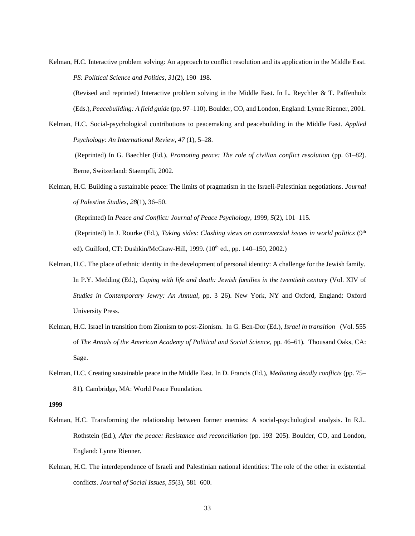Kelman, H.C. Interactive problem solving: An approach to conflict resolution and its application in the Middle East. *PS: Political Science and Politics*, *31*(2), 190–198.

(Revised and reprinted) Interactive problem solving in the Middle East. In L. Reychler & T. Paffenholz (Eds.), *Peacebuilding: A field guide* (pp. 97–110). Boulder, CO, and London, England: Lynne Rienner, 2001.

Kelman, H.C. Social-psychological contributions to peacemaking and peacebuilding in the Middle East. *Applied Psychology: An International Review, 47* (1), 5–28.

(Reprinted) In G. Baechler (Ed.), *Promoting peace: The role of civilian conflict resolution* (pp. 61–82). Berne, Switzerland: Staempfli, 2002.

Kelman, H.C. Building a sustainable peace: The limits of pragmatism in the Israeli-Palestinian negotiations. *Journal of Palestine Studies*, *28*(1), 36–50.

(Reprinted) In *Peace and Conflict: Journal of Peace Psychology,* 1999, *5*(2), 101–115.

(Reprinted) In J. Rourke (Ed.), *Taking sides: Clashing views on controversial issues in world politics* (9<sup>th</sup> ed). Guilford, CT: Dushkin/McGraw-Hill, 1999. (10<sup>th</sup> ed., pp. 140–150, 2002.)

- Kelman, H.C. The place of ethnic identity in the development of personal identity: A challenge for the Jewish family. In P.Y. Medding (Ed.), *Coping with life and death: Jewish families in the twentieth century* (Vol. XIV of *Studies in Contemporary Jewry: An Annual*, pp. 3–26). New York, NY and Oxford, England: Oxford University Press.
- Kelman, H.C. Israel in transition from Zionism to post-Zionism. In G. Ben-Dor (Ed.), *Israel in transition* (Vol. 555 of *The Annals of the American Academy of Political and Social Science,* pp. 46–61). Thousand Oaks, CA: Sage.
- Kelman, H.C. Creating sustainable peace in the Middle East. In D. Francis (Ed.), *Mediating deadly conflicts* (pp. 75– 81)*.* Cambridge, MA: World Peace Foundation.

- Kelman, H.C. Transforming the relationship between former enemies: A social-psychological analysis. In R.L. Rothstein (Ed.), *After the peace: Resistance and reconciliation* (pp. 193–205). Boulder, CO, and London, England: Lynne Rienner.
- Kelman, H.C. The interdependence of Israeli and Palestinian national identities: The role of the other in existential conflicts. *Journal of Social Issues, 55*(3), 581–600.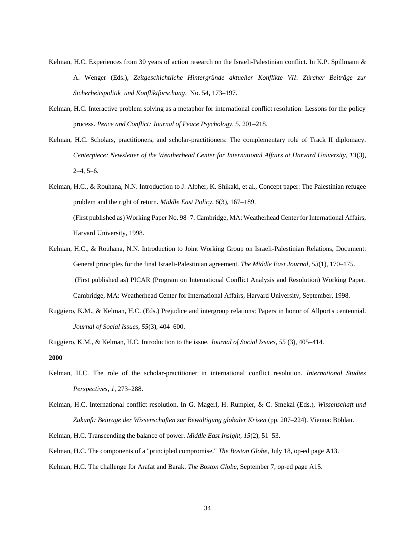- Kelman, H.C. Experiences from 30 years of action research on the Israeli-Palestinian conflict. In K.P. Spillmann & A. Wenger (Eds.), *Zeitgeschichtliche Hintergründe aktueller Konflikte VII*: *Zürcher Beiträge zur Sicherheitspolitik und Konfliktforschung*, No. 54, 173–197.
- Kelman, H.C. Interactive problem solving as a metaphor for international conflict resolution: Lessons for the policy process. *Peace and Conflict: Journal of Peace Psychology*, *5*, 201–218.
- Kelman, H.C. Scholars, practitioners, and scholar-practitioners: The complementary role of Track II diplomacy. *Centerpiece: Newsletter of the Weatherhead Center for International Affairs at Harvard University, 13*(3),  $2-4, 5-6.$
- Kelman, H.C., & Rouhana, N.N. Introduction to J. Alpher, K. Shikaki, et al., Concept paper: The Palestinian refugee problem and the right of return. *Middle East Policy*, *6*(3), 167–189. (First published as) Working Paper No. 98–7. Cambridge, MA: Weatherhead Center for International Affairs, Harvard University, 1998.
- Kelman, H.C., & Rouhana, N.N. Introduction to Joint Working Group on Israeli-Palestinian Relations, Document: General principles for the final Israeli-Palestinian agreement. *The Middle East Journal*, *53*(1), 170–175. (First published as) PICAR (Program on International Conflict Analysis and Resolution) Working Paper. Cambridge, MA: Weatherhead Center for International Affairs, Harvard University, September, 1998.
- Ruggiero, K.M., & Kelman, H.C. (Eds.) Prejudice and intergroup relations: Papers in honor of Allport's centennial. *Journal of Social Issues, 55*(3), 404–600.

Ruggiero, K.M., & Kelman, H.C. Introduction to the issue. *Journal of Social Issues, 55* (3), 405–414. **2000**

- Kelman, H.C. The role of the scholar-practitioner in international conflict resolution. *International Studies Perspectives*, *1*, 273–288.
- Kelman, H.C. International conflict resolution. In G. Magerl, H. Rumpler, & C. Smekal (Eds.), *Wissenschaft und Zukunft: Beiträge der Wissenschaften zur Bewältigung globaler Krisen* (pp. 207–224). Vienna: Böhlau.
- Kelman, H.C. Transcending the balance of power. *Middle East Insight, 15*(2), 51–53.
- Kelman, H.C. The components of a "principled compromise." *The Boston Globe*, July 18, op-ed page A13.
- Kelman, H.C. The challenge for Arafat and Barak. *The Boston Globe*, September 7, op-ed page A15.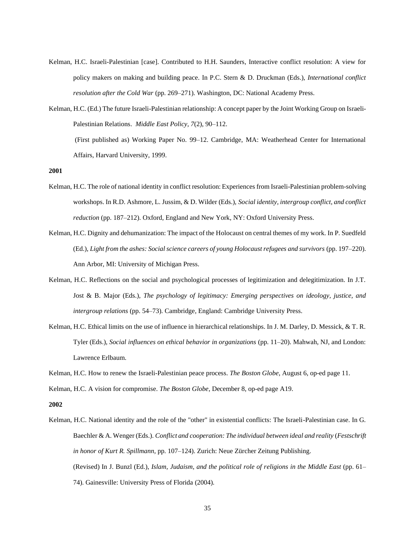- Kelman, H.C. Israeli-Palestinian [case]. Contributed to H.H. Saunders, Interactive conflict resolution: A view for policy makers on making and building peace. In P.C. Stern & D. Druckman (Eds.), *International conflict resolution after the Cold War* (pp. 269–271). Washington, DC: National Academy Press.
- Kelman, H.C. (Ed.) The future Israeli-Palestinian relationship: A concept paper by the Joint Working Group on Israeli-Palestinian Relations. *Middle East Policy, 7*(2), 90–112. (First published as) Working Paper No. 99–12. Cambridge, MA: Weatherhead Center for International Affairs, Harvard University, 1999.

- Kelman, H.C. The role of national identity in conflict resolution: Experiences from Israeli-Palestinian problem-solving workshops. In R.D. Ashmore, L. Jussim, & D. Wilder (Eds.), *Social identity, intergroup conflict, and conflict reduction* (pp. 187–212). Oxford, England and New York, NY: Oxford University Press.
- Kelman, H.C. Dignity and dehumanization: The impact of the Holocaust on central themes of my work. In P. Suedfeld (Ed.), *Light from the ashes: Social science careers of young Holocaust refugees and survivors* (pp. 197–220). Ann Arbor, MI: University of Michigan Press.
- Kelman, H.C. Reflections on the social and psychological processes of legitimization and delegitimization. In J.T. Jost & B. Major (Eds.), *The psychology of legitimacy: Emerging perspectives on ideology, justice, and intergroup relations* (pp. 54–73). Cambridge, England: Cambridge University Press.
- Kelman, H.C. Ethical limits on the use of influence in hierarchical relationships. In J. M. Darley, D. Messick, & T. R. Tyler (Eds.), *Social influences on ethical behavior in organizations* (pp. 11–20). Mahwah, NJ, and London: Lawrence Erlbaum.

Kelman, H.C. How to renew the Israeli-Palestinian peace process. *The Boston Globe*, August 6, op-ed page 11.

Kelman, H.C. A vision for compromise. *The Boston Globe*, December 8, op-ed page A19.

#### **2002**

Kelman, H.C. National identity and the role of the "other" in existential conflicts: The Israeli-Palestinian case. In G. Baechler & A. Wenger (Eds.). *Conflict and cooperation: The individual between ideal and reality* (*Festschrift in honor of Kurt R. Spillmann*, pp. 107–124). Zurich: Neue Zürcher Zeitung Publishing. (Revised) In J. Bunzl (Ed.), *Islam, Judaism, and the political role of religions in the Middle East* (pp. 61– 74). Gainesville: University Press of Florida (2004).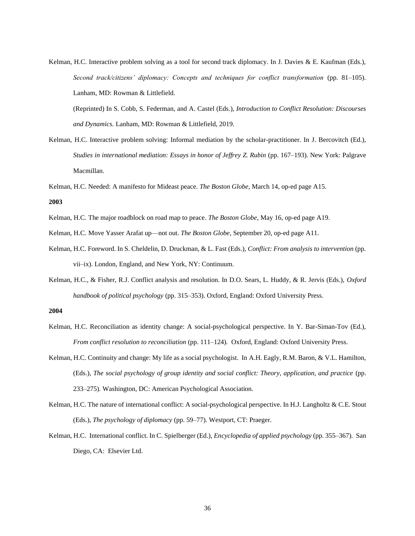Kelman, H.C. Interactive problem solving as a tool for second track diplomacy. In J. Davies & E. Kaufman (Eds.), *Second track/citizens' diplomacy: Concepts and techniques for conflict transformation* (pp. 81–105). Lanham, MD: Rowman & Littlefield.

(Reprinted) In S. Cobb, S. Federman, and A. Castel (Eds.), *Introduction to Conflict Resolution: Discourses and Dynamics.* Lanham, MD: Rowman & Littlefield, 2019.

- Kelman, H.C. Interactive problem solving: Informal mediation by the scholar-practitioner. In J. Bercovitch (Ed.), *Studies in international mediation: Essays in honor of Jeffrey Z. Rubin* (pp. 167–193). New York: Palgrave Macmillan.
- Kelman, H.C. Needed: A manifesto for Mideast peace. *The Boston Globe*, March 14, op-ed page A15.

#### **2003**

- Kelman, H.C. The major roadblock on road map to peace. *The Boston Globe*, May 16, op-ed page A19.
- Kelman, H.C. Move Yasser Arafat up—not out. *The Boston Globe*, September 20, op-ed page A11.
- Kelman, H.C. Foreword. In S. Cheldelin, D. Druckman, & L. Fast (Eds.), *Conflict: From analysis to intervention* (pp. vii–ix). London, England, and New York, NY: Continuum.
- Kelman, H.C., & Fisher, R.J. Conflict analysis and resolution. In D.O. Sears, L. Huddy, & R. Jervis (Eds.), *Oxford handbook of political psychology* (pp. 315–353). Oxford, England: Oxford University Press.

- Kelman, H.C. Reconciliation as identity change: A social-psychological perspective. In Y. Bar-Siman-Tov (Ed.), *From conflict resolution to reconciliation* (pp. 111-124). Oxford, England: Oxford University Press.
- Kelman, H.C. Continuity and change: My life as a social psychologist. In A.H. Eagly, R.M. Baron, & V.L. Hamilton, (Eds.), *The social psychology of group identity and social conflict: Theory, application, and practice* (pp. 233–275). Washington, DC: American Psychological Association.
- Kelman, H.C. The nature of international conflict: A social-psychological perspective. In H.J. Langholtz & C.E. Stout (Eds.), *The psychology of diplomacy* (pp. 59–77). Westport, CT: Praeger.
- Kelman, H.C. International conflict. In C. Spielberger (Ed.), *Encyclopedia of applied psychology* (pp. 355–367). San Diego, CA: Elsevier Ltd.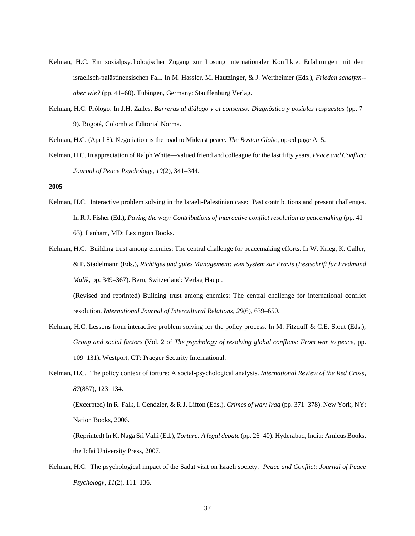- Kelman, H.C. Ein sozialpsychologischer Zugang zur Lösung internationaler Konflikte: Erfahrungen mit dem israelisch-palästinensischen Fall. In M. Hassler, M. Hautzinger, & J. Wertheimer (Eds.), *Frieden schaffen- aber wie?* (pp. 41–60). Tübingen, Germany: Stauffenburg Verlag.
- Kelman, H.C. Prólogo. In J.H. Zalles, *Barreras al diálogo y al consenso: Diagnóstico y posibles respuestas* (pp. 7– 9)*.* Bogotá, Colombia: Editorial Norma.
- Kelman, H.C. (April 8). Negotiation is the road to Mideast peace. *The Boston Globe*, op-ed page A15.
- Kelman, H.C. In appreciation of Ralph White—valued friend and colleague for the last fifty years. *Peace and Conflict: Journal of Peace Psychology, 10*(2), 341–344.

- Kelman, H.C. Interactive problem solving in the Israeli-Palestinian case: Past contributions and present challenges. In R.J. Fisher (Ed.), *Paving the way: Contributions of interactive conflict resolution to peacemaking* (pp. 41– 63). Lanham, MD: Lexington Books.
- Kelman, H.C. Building trust among enemies: The central challenge for peacemaking efforts. In W. Krieg, K. Galler, & P. Stadelmann (Eds.), *Richtiges und gutes Management: vom System zur Praxis* (*Festschrift für Fredmund Malik*, pp. 349–367). Bern, Switzerland: Verlag Haupt.

(Revised and reprinted) Building trust among enemies: The central challenge for international conflict resolution. *International Journal of Intercultural Relations, 29*(6), 639–650.

- Kelman, H.C. Lessons from interactive problem solving for the policy process. In M. Fitzduff & C.E. Stout (Eds.), *Group and social factors* (Vol. 2 of *The psychology of resolving global conflicts: From war to peace,* pp. 109–131). Westport, CT: Praeger Security International.
- Kelman, H.C. The policy context of torture: A social-psychological analysis. *International Review of the Red Cross, 87*(857), 123–134.

(Excerpted) In R. Falk, I. Gendzier, & R.J. Lifton (Eds.), *Crimes of war: Iraq* (pp. 371–378). New York, NY: Nation Books, 2006.

(Reprinted) In K. Naga Sri Valli (Ed.), *Torture: A legal debate* (pp. 26–40). Hyderabad, India: Amicus Books, the Icfai University Press, 2007.

Kelman, H.C. The psychological impact of the Sadat visit on Israeli society. *Peace and Conflict: Journal of Peace Psychology*, *11*(2), 111–136.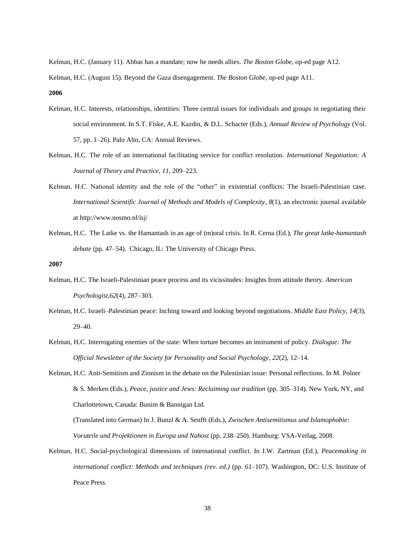Kelman, H.C. (January 11). Abbas has a mandate; now he needs allies. *The Boston Globe,* op-ed page A12.

Kelman, H.C. (August 15). Beyond the Gaza disengagement. *The Boston Globe,* op-ed page A11.

**2006**

- Kelman, H.C. Interests, relationships, identities: Three central issues for individuals and groups in negotiating their social environment. In S.T. Fiske, A.E. Kazdin, & D.L. Schacter (Eds.), *Annual Review of Psychology* (Vol. 57, pp. 1–26). Palo Alto, CA: Annual Reviews.
- Kelman, H.C. The role of an international facilitating service for conflict resolution. *International Negotiation: A Journal of Theory and Practice, 11,* 209–223.
- Kelman, H.C. National identity and the role of the "other" in existential conflicts: The Israeli-Palestinian case. *International Scientific Journal of Methods and Models of Complexity, 8*(1), an electronic journal available at http://www.nosmo.nl/isj/
- Kelman, H.C. The Latke vs. the Hamantash in an age of (m)oral crisis. In R. Cerna (Ed.), *The great latke-hamantash debate* (pp*.* 47–54). Chicago, IL: The University of Chicago Press.

**2007**

- Kelman, H.C. The Israeli-Palestinian peace process and its vicissitudes: Insights from attitude theory. *American Psychologist,62*(4), 287–303.
- Kelman, H.C. Israeli–Palestinian peace: Inching toward and looking beyond negotiations. *Middle East Policy, 14*(3), 29–40.
- Kelman, H.C. Interrogating enemies of the state: When torture becomes an instrument of policy. *Dialogue: The Official Newsletter of the Society for Personality and Social Psychology, 22*(2), 12–14.
- Kelman, H.C. Anti-Semitism and Zionism in the debate on the Palestinian issue: Personal reflections. In M. Polner & S. Merken (Eds.), *Peace, justice and Jews: Reclaiming our tradition* (pp. 305–314)*.* New York, NY, and Charlottetown, Canada: Bunim & Bannigan Ltd.

(Translated into German) In J. Bunzl & A. Senfft (Eds.), *Zwischen Antisemitismus und Islamophobie: Voruteile und Projektionen in Europa und Nahost* (pp. 238–250). Hamburg: VSA-Verlag, 2008.

Kelman, H.C. Social-psychological dimensions of international conflict. In I.W. Zartman (Ed*.*), *Peacemaking in international conflict: Methods and techniques (rev. ed.)* (pp. 61–107). Washington, DC: U.S. Institute of Peace Press.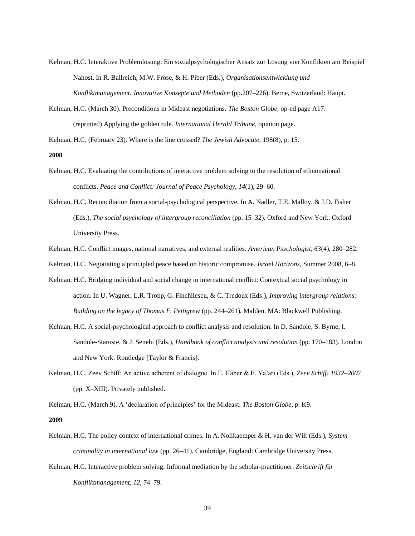- Kelman, H.C. Interaktive Problemlösung: Ein sozialpsychologischer Ansatz zur Lösung von Konflikten am Beispiel Nahost. In R. Ballreich, M.W. Fröse, & H. Piber (Eds.), *Organisationsentwicklung und Konfliktmanagement: Innovative Konzepte und Methoden* (pp.207–226). Berne, Switzerland: Haupt.
- Kelman, H.C. (March 30). Preconditions in Mideast negotiations. *The Boston Globe,* op-ed page A17. (reprinted) Applying the golden rule. *International Herald Tribune,* opinion page.

Kelman, H.C. (February 23). Where is the line crossed? *The Jewish Advocate,* 198(8), p. 15.

#### **2008**

- Kelman, H.C. Evaluating the contributions of interactive problem solving to the resolution of ethnonational conflicts. *Peace and Conflict: Journal of Peace Psychology, 14*(1), 29–60.
- Kelman, H.C. Reconciliation from a social-psychological perspective. In A. Nadler, T.E. Malloy, & J.D. Fisher (Eds.), *The social psychology of intergroup reconciliation* (pp. 15–32)*.* Oxford and New York: Oxford University Press.
- Kelman, H.C. Conflict images, national narratives, and external realities. *American Psychologist, 63*(4), 280–282.
- Kelman, H.C. Negotiating a principled peace based on historic compromise. *Israel Horizons,* Summer 2008, 6–8.
- Kelman, H.C. Bridging individual and social change in international conflict: Contextual social psychology in action. In U. Wagner, L.R. Tropp, G. Finchilescu, & C. Tredoux (Eds.), *Improving intergroup relations: Building on the legacy of Thomas F. Pettigrew* (pp. 244–261)*.* Malden, MA: Blackwell Publishing.
- Kelman, H.C. A social-psychological approach to conflict analysis and resolution. In D. Sandole, S. Byrne, I. Sandole-Staroste, & J. Senehi (Eds.), *Handbook of conflict analysis and resolution* (pp. 170–183)*.* London and New York: Routledge [Taylor & Francis].
- Kelman, H.C. Zeev Schiff: An active adherent of dialogue. In E. Haber & E. Ya'ari (Eds.), *Zeev Schiff: 1932–2007* (pp. X–XIII). Privately published.

Kelman, H.C. (March 9). A 'declaration of principles' for the Mideast. *The Boston Globe,* p. K9.

- Kelman, H.C. The policy context of international crimes. In A. Nollkaemper & H. van der Wilt (Eds.), *System criminality in international law* (pp. 26–41). Cambridge, England: Cambridge University Press.
- Kelman, H.C. Interactive problem solving: Informal mediation by the scholar-practitioner. *Zeitschrift für Konfliktmanagement, 12,* 74–79.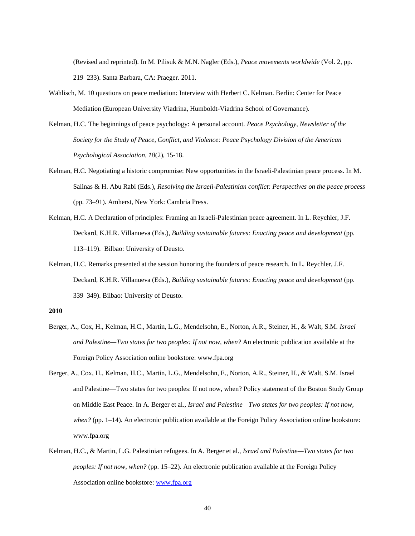(Revised and reprinted). In M. Pilisuk & M.N. Nagler (Eds.), *Peace movements worldwide* (Vol. 2, pp. 219–233). Santa Barbara, CA: Praeger. 2011.

- Wählisch, M. 10 questions on peace mediation: Interview with Herbert C. Kelman. Berlin: Center for Peace Mediation (European University Viadrina, Humboldt-Viadrina School of Governance).
- Kelman, H.C. The beginnings of peace psychology: A personal account. *Peace Psychology, Newsletter of the Society for the Study of Peace, Conflict, and Violence: Peace Psychology Division of the American Psychological Association, 18*(2), 15-18.
- Kelman, H.C. Negotiating a historic compromise: New opportunities in the Israeli-Palestinian peace process. In M. Salinas & H. Abu Rabi (Eds.), *Resolving the Israeli-Palestinian conflict: Perspectives on the peace process* (pp. 73–91)*.* Amherst, New York: Cambria Press.
- Kelman, H.C. A Declaration of principles: Framing an Israeli-Palestinian peace agreement. In L. Reychler, J.F. Deckard, K.H.R. Villanueva (Eds.), *Building sustainable futures: Enacting peace and development* (pp. 113–119). Bilbao: University of Deusto.
- Kelman, H.C. Remarks presented at the session honoring the founders of peace research. In L. Reychler, J.F. Deckard, K.H.R. Villanueva (Eds.), *Building sustainable futures: Enacting peace and development* (pp. 339–349). Bilbao: University of Deusto.

- Berger, A., Cox, H., Kelman, H.C., Martin, L.G., Mendelsohn, E., Norton, A.R., Steiner, H., & Walt, S.M. *Israel and Palestine—Two states for two peoples: If not now, when?* An electronic publication available at the Foreign Policy Association online bookstore: www.fpa.org
- Berger, A., Cox, H., Kelman, H.C., Martin, L.G., Mendelsohn, E., Norton, A.R., Steiner, H., & Walt, S.M. Israel and Palestine—Two states for two peoples: If not now, when? Policy statement of the Boston Study Group on Middle East Peace. In A. Berger et al., *Israel and Palestine—Two states for two peoples: If not now, when?* (pp. 1–14). An electronic publication available at the Foreign Policy Association online bookstore: www.fpa.org
- Kelman, H.C., & Martin, L.G. Palestinian refugees. In A. Berger et al., *Israel and Palestine—Two states for two peoples: If not now, when?* (pp. 15–22). An electronic publication available at the Foreign Policy Association online bookstore: [www.fpa.org](http://www.fpa.org/)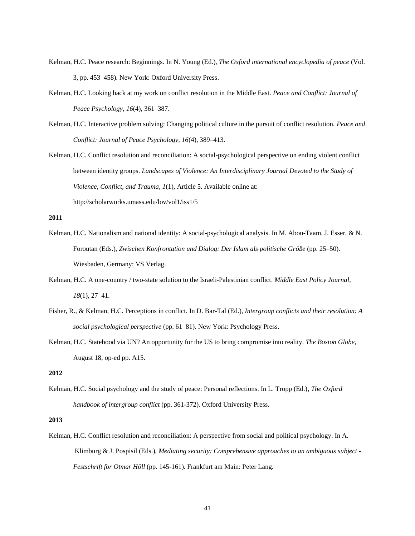- Kelman, H.C. Peace research: Beginnings. In N. Young (Ed.), *The Oxford international encyclopedia of peace* (Vol. 3, pp. 453–458). New York: Oxford University Press.
- Kelman, H.C. Looking back at my work on conflict resolution in the Middle East. *Peace and Conflict: Journal of Peace Psychology, 16*(4), 361–387.
- Kelman, H.C. Interactive problem solving: Changing political culture in the pursuit of conflict resolution. *Peace and Conflict: Journal of Peace Psychology, 16*(4), 389–413.
- Kelman, H.C. Conflict resolution and reconciliation: A social-psychological perspective on ending violent conflict between identity groups. *Landscapes of Violence: An Interdisciplinary Journal Devoted to the Study of Violence, Conflict, and Trauma, 1*(1), Article 5*.* Available online at: http://scholarworks.umass.edu/lov/vol1/iss1/5

- Kelman, H.C. Nationalism and national identity: A social-psychological analysis. In M. Abou-Taam, J. Esser, & N. Foroutan (Eds.), *Zwischen Konfrontation und Dialog: Der Islam als politische Größe* (pp. 25–50). Wiesbaden, Germany: VS Verlag.
- Kelman, H.C. A one-country / two-state solution to the Israeli-Palestinian conflict. *Middle East Policy Journal, 18*(1), 27–41.
- Fisher, R., & Kelman, H.C. Perceptions in conflict. In D. Bar-Tal (Ed.), *Intergroup conflicts and their resolution: A social psychological perspective* (pp. 61–81). New York: Psychology Press.
- Kelman, H.C. Statehood via UN? An opportunity for the US to bring compromise into reality. *The Boston Globe,* August 18, op-ed pp. A15.

# **2012**

Kelman, H.C. Social psychology and the study of peace: Personal reflections. In L. Tropp (Ed.), *The Oxford handbook of intergroup conflict* (pp. 361-372)*.* Oxford University Press.

# **2013**

Kelman, H.C. Conflict resolution and reconciliation: A perspective from social and political psychology. In A. Klimburg & J. Pospisil (Eds.), *Mediating security: Comprehensive approaches to an ambiguous subject - Festschrift for Otmar Höll* (pp. 145-161). Frankfurt am Main: Peter Lang.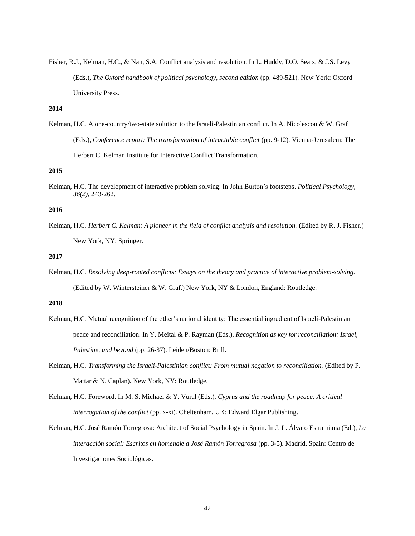Fisher, R.J., Kelman, H.C., & Nan, S.A. Conflict analysis and resolution. In L. Huddy, D.O. Sears, & J.S. Levy (Eds.), *The Oxford handbook of political psychology, second edition* (pp. 489-521)*.* New York: Oxford University Press.

# **2014**

Kelman, H.C. A one-country/two-state solution to the Israeli-Palestinian conflict. In A. Nicolescou & W. Graf (Eds.), *Conference report: The transformation of intractable conflict* (pp. 9-12). Vienna-Jerusalem: The Herbert C. Kelman Institute for Interactive Conflict Transformation.

### **2015**

Kelman, H.C. The development of interactive problem solving: In John Burton's footsteps. *Political Psychology, 36(2)*, 243-262.

## **2016**

Kelman, H.C. *Herbert C. Kelman: A pioneer in the field of conflict analysis and resolution.* (Edited by R. J. Fisher.) New York, NY: Springer.

# **2017**

Kelman, H.C. *Resolving deep-rooted conflicts: Essays on the theory and practice of interactive problem-solving.*  (Edited by W. Wintersteiner & W. Graf.) New York, NY & London, England: Routledge.

- Kelman, H.C. Mutual recognition of the other's national identity: The essential ingredient of Israeli-Palestinian peace and reconciliation. In Y. Meital & P. Rayman (Eds.), *Recognition as key for reconciliation: Israel, Palestine, and beyond* (pp. 26-37). Leiden/Boston: Brill.
- Kelman, H.C. *Transforming the Israeli-Palestinian conflict: From mutual negation to reconciliation*. (Edited by P. Mattar & N. Caplan). New York, NY: Routledge.
- Kelman, H.C. Foreword. In M. S. Michael & Y. Vural (Eds.), *Cyprus and the roadmap for peace: A critical interrogation of the conflict* (pp. x-xi)*.* Cheltenham, UK: Edward Elgar Publishing.
- Kelman, H.C. José Ramón Torregrosa: Architect of Social Psychology in Spain. In J. L. Álvaro Estramiana (Ed.), *La interacción social: Escritos en homenaje a José Ramón Torregrosa* (pp. 3-5). Madrid, Spain: Centro de Investigaciones Sociológicas.